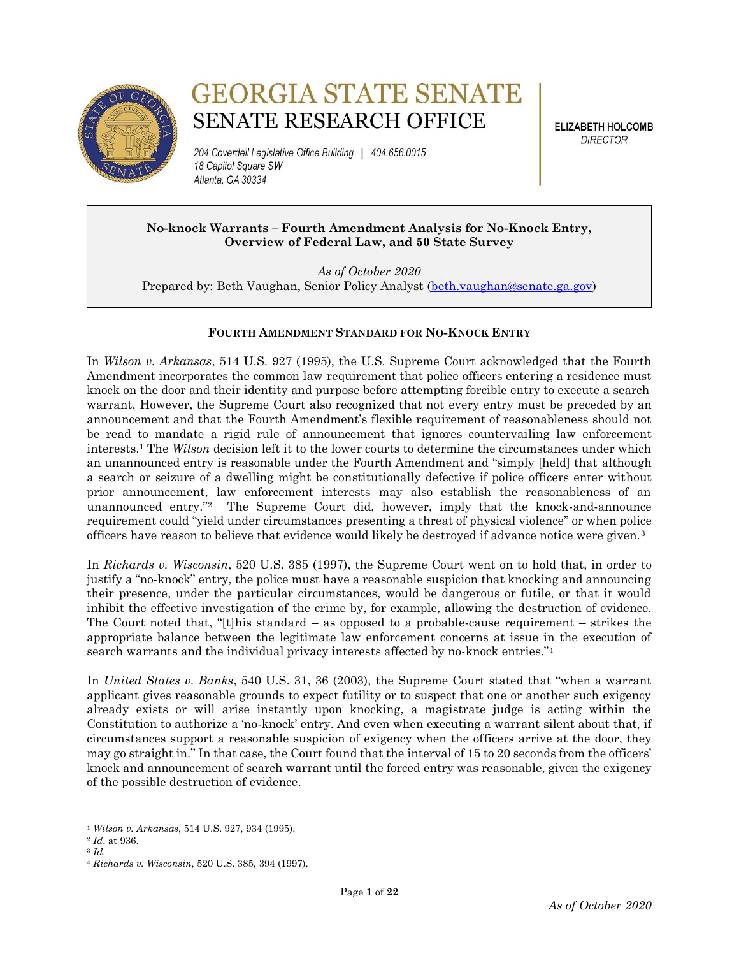

# **GEORGIA STATE SENATE SENATE RESEARCH OFFICE**

204 Coverdell Legislative Office Building | 404.656.0015 18 Capitol Square SW Atlanta, GA 30334

**ELIZABETH HOLCOMB DIRECTOR** 

# **No-knock Warrants – Fourth Amendment Analysis for No-Knock Entry, Overview of Federal Law, and 50 State Survey**

*As of October 2020* Prepared by: Beth Vaughan, Senior Policy Analyst [\(beth.vaughan@senate.ga.gov\)](mailto:beth.vaughan@senate.ga.gov)

# **FOURTH AMENDMENT STANDARD FOR NO-KNOCK ENTRY**

In *Wilson v. Arkansas*, 514 U.S. 927 (1995), the U.S. Supreme Court acknowledged that the Fourth Amendment incorporates the common law requirement that police officers entering a residence must knock on the door and their identity and purpose before attempting forcible entry to execute a search warrant. However, the Supreme Court also recognized that not every entry must be preceded by an announcement and that the Fourth Amendment's flexible requirement of reasonableness should not be read to mandate a rigid rule of announcement that ignores countervailing law enforcement interests.<sup>1</sup> The *Wilson* decision left it to the lower courts to determine the circumstances under which an unannounced entry is reasonable under the Fourth Amendment and "simply [held] that although a search or seizure of a dwelling might be constitutionally defective if police officers enter without prior announcement, law enforcement interests may also establish the reasonableness of an unannounced entry." <sup>2</sup> The Supreme Court did, however, imply that the knock-and-announce requirement could "yield under circumstances presenting a threat of physical violence" or when police officers have reason to believe that evidence would likely be destroyed if advance notice were given.<sup>3</sup>

In *Richards v. Wisconsin*, 520 U.S. 385 (1997), the Supreme Court went on to hold that, in order to justify a "no-knock" entry, the police must have a reasonable suspicion that knocking and announcing their presence, under the particular circumstances, would be dangerous or futile, or that it would inhibit the effective investigation of the crime by, for example, allowing the destruction of evidence. The Court noted that, "[t]his standard – as opposed to a probable-cause requirement – strikes the appropriate balance between the legitimate law enforcement concerns at issue in the execution of search warrants and the individual privacy interests affected by no-knock entries."<sup>4</sup>

In *United States v. Banks*, 540 U.S. 31, 36 (2003), the Supreme Court stated that "when a warrant applicant gives reasonable grounds to expect futility or to suspect that one or another such exigency already exists or will arise instantly upon knocking, a magistrate judge is acting within the Constitution to authorize a 'no-knock' entry. And even when executing a warrant silent about that, if circumstances support a reasonable suspicion of exigency when the officers arrive at the door, they may go straight in." In that case, the Court found that the interval of 15 to 20 seconds from the officers' knock and announcement of search warrant until the forced entry was reasonable, given the exigency of the possible destruction of evidence.

<sup>1</sup> *Wilson v. Arkansas*, 514 U.S. 927, 934 (1995).

<sup>2</sup> *Id*. at 936.

<sup>3</sup> *Id*.

<sup>4</sup> *Richards v. Wisconsin*, 520 U.S. 385, 394 (1997).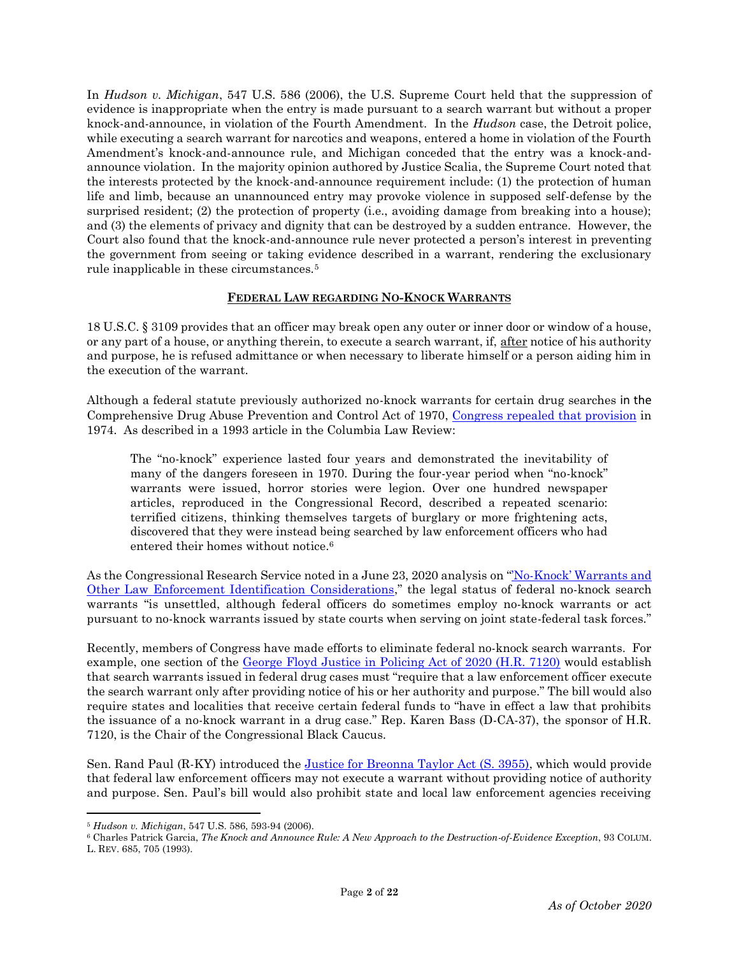In *Hudson v. Michigan*, 547 U.S. 586 (2006), the U.S. Supreme Court held that the suppression of evidence is inappropriate when the entry is made pursuant to a search warrant but without a proper knock-and-announce, in violation of the Fourth Amendment. In the *Hudson* case, the Detroit police, while executing a search warrant for narcotics and weapons, entered a home in violation of the Fourth Amendment's knock-and-announce rule, and Michigan conceded that the entry was a knock-andannounce violation. In the majority opinion authored by Justice Scalia, the Supreme Court noted that the interests protected by the knock-and-announce requirement include: (1) the protection of human life and limb, because an unannounced entry may provoke violence in supposed self-defense by the surprised resident; (2) the protection of property (i.e., avoiding damage from breaking into a house); and (3) the elements of privacy and dignity that can be destroyed by a sudden entrance. However, the Court also found that the knock-and-announce rule never protected a person's interest in preventing the government from seeing or taking evidence described in a warrant, rendering the exclusionary rule inapplicable in these circumstances.<sup>5</sup>

## **FEDERAL LAW REGARDING NO-KNOCK WARRANTS**

18 U.S.C. § 3109 provides that an officer may break open any outer or inner door or window of a house, or any part of a house, or anything therein, to execute a search warrant, if, after notice of his authority and purpose, he is refused admittance or when necessary to liberate himself or a person aiding him in the execution of the warrant.

Although a federal statute previously authorized no-knock warrants for certain drug searches in the Comprehensive Drug Abuse Prevention and Control Act of 1970, [Congress repealed that provision](https://www.justice.gov/file/19061/download#page=7) in 1974. As described in a 1993 article in the Columbia Law Review:

The "no-knock" experience lasted four years and demonstrated the inevitability of many of the dangers foreseen in 1970. During the four-year period when "no-knock" warrants were issued, horror stories were legion. Over one hundred newspaper articles, reproduced in the Congressional Record, described a repeated scenario: terrified citizens, thinking themselves targets of burglary or more frightening acts, discovered that they were instead being searched by law enforcement officers who had entered their homes without notice.<sup>6</sup>

As the Congressional Research Service noted in a June 23, 2020 analysis on "No-Knock' Warrants and [Other Law Enforcement Identification Considerations](https://crsreports.congress.gov/product/pdf/LSB/LSB10499)," the legal status of federal no-knock search warrants "is unsettled, although federal officers do sometimes employ no-knock warrants or act pursuant to no-knock warrants issued by state courts when serving on joint state-federal task forces."

Recently, members of Congress have made efforts to eliminate federal no-knock search warrants. For example, one section of the [George Floyd Justice in Policing Act of 2020 \(H.R. 7120\)](https://www.congress.gov/bill/116th-congress/house-bill/7120/text) would establish that search warrants issued in federal drug cases must "require that a law enforcement officer execute the search warrant only after providing notice of his or her authority and purpose." The bill would also require states and localities that receive certain federal funds to "have in effect a law that prohibits the issuance of a no-knock warrant in a drug case." Rep. Karen Bass (D-CA-37), the sponsor of H.R. 7120, is the Chair of the Congressional Black Caucus.

Sen. Rand Paul (R-KY) introduced the [Justice for Breonna Taylor Act \(S. 3955\),](https://www.congress.gov/bill/116th-congress/senate-bill/3955/text) which would provide that federal law enforcement officers may not execute a warrant without providing notice of authority and purpose. Sen. Paul's bill would also prohibit state and local law enforcement agencies receiving

 $\overline{a}$ 

<sup>5</sup> *Hudson v. Michigan*, 547 U.S. 586, 593-94 (2006).

<sup>6</sup> Charles Patrick Garcia, *The Knock and Announce Rule: A New Approach to the Destruction-of-Evidence Exception*, 93 COLUM. L. REV. 685, 705 (1993).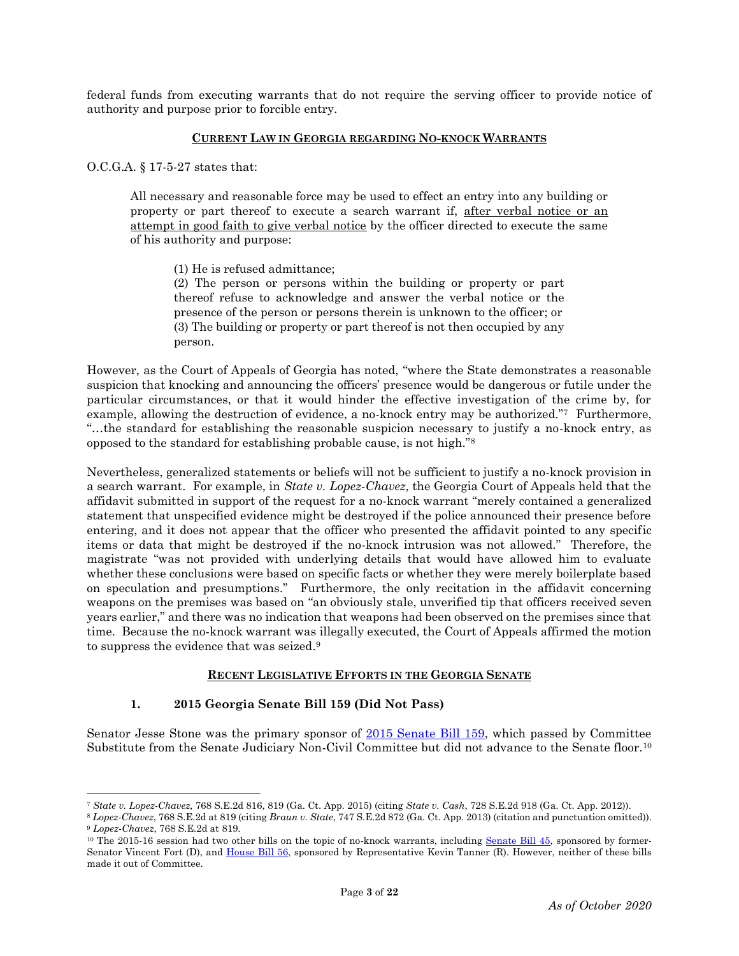federal funds from executing warrants that do not require the serving officer to provide notice of authority and purpose prior to forcible entry.

#### **CURRENT LAW IN GEORGIA REGARDING NO-KNOCK WARRANTS**

O.C.G.A. § 17-5-27 states that:

 $\overline{\phantom{a}}$ 

All necessary and reasonable force may be used to effect an entry into any building or property or part thereof to execute a search warrant if, after verbal notice or an attempt in good faith to give verbal notice by the officer directed to execute the same of his authority and purpose:

(1) He is refused admittance;

(2) The person or persons within the building or property or part thereof refuse to acknowledge and answer the verbal notice or the presence of the person or persons therein is unknown to the officer; or (3) The building or property or part thereof is not then occupied by any person.

However, as the Court of Appeals of Georgia has noted, "where the State demonstrates a reasonable suspicion that knocking and announcing the officers' presence would be dangerous or futile under the particular circumstances, or that it would hinder the effective investigation of the crime by, for example, allowing the destruction of evidence, a no-knock entry may be authorized."7 Furthermore, "…the standard for establishing the reasonable suspicion necessary to justify a no-knock entry, as opposed to the standard for establishing probable cause, is not high."<sup>8</sup>

Nevertheless, generalized statements or beliefs will not be sufficient to justify a no-knock provision in a search warrant. For example, in *State v. Lopez-Chavez*, the Georgia Court of Appeals held that the affidavit submitted in support of the request for a no-knock warrant "merely contained a generalized statement that unspecified evidence might be destroyed if the police announced their presence before entering, and it does not appear that the officer who presented the affidavit pointed to any specific items or data that might be destroyed if the no-knock intrusion was not allowed." Therefore, the magistrate "was not provided with underlying details that would have allowed him to evaluate whether these conclusions were based on specific facts or whether they were merely boilerplate based on speculation and presumptions." Furthermore, the only recitation in the affidavit concerning weapons on the premises was based on "an obviously stale, unverified tip that officers received seven years earlier," and there was no indication that weapons had been observed on the premises since that time. Because the no-knock warrant was illegally executed, the Court of Appeals affirmed the motion to suppress the evidence that was seized.<sup>9</sup>

#### **RECENT LEGISLATIVE EFFORTS IN THE GEORGIA SENATE**

# **1. 2015 Georgia Senate Bill 159 (Did Not Pass)**

Senator Jesse Stone was the primary sponsor of  $\frac{2015 \text{ Senate Bill } 159}{2015 \text{ Senate }}$ , which passed by Committee Substitute from the Senate Judiciary Non-Civil Committee but did not advance to the Senate floor.<sup>10</sup>

<sup>7</sup> *State v. Lopez-Chavez*, 768 S.E.2d 816, 819 (Ga. Ct. App. 2015) (citing *State v. Cash*, 728 S.E.2d 918 (Ga. Ct. App. 2012)).

<sup>8</sup> *Lopez-Chavez*, 768 S.E.2d at 819 (citing *Braun v. State*, 747 S.E.2d 872 (Ga. Ct. App. 2013) (citation and punctuation omitted)). <sup>9</sup> *Lopez-Chavez*, 768 S.E.2d at 819.

 $10$  The 2015-16 session had two other bills on the topic of no-knock warrants, including Senate Bill  $45$ , sponsored by former-Senator Vincent Fort (D), and [House Bill 56,](http://www.legis.ga.gov/Legislation/en-US/display/20152016/HB/56) sponsored by Representative Kevin Tanner (R). However, neither of these bills made it out of Committee.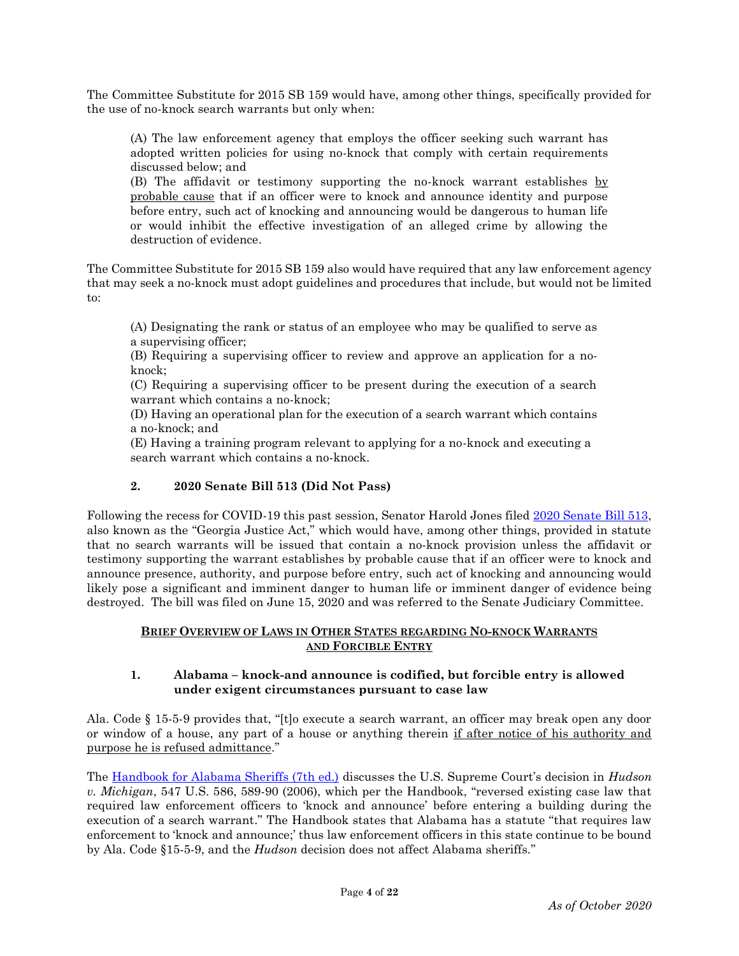The Committee Substitute for 2015 SB 159 would have, among other things, specifically provided for the use of no-knock search warrants but only when:

(A) The law enforcement agency that employs the officer seeking such warrant has adopted written policies for using no-knock that comply with certain requirements discussed below; and

(B) The affidavit or testimony supporting the no-knock warrant establishes by probable cause that if an officer were to knock and announce identity and purpose before entry, such act of knocking and announcing would be dangerous to human life or would inhibit the effective investigation of an alleged crime by allowing the destruction of evidence.

The Committee Substitute for 2015 SB 159 also would have required that any law enforcement agency that may seek a no-knock must adopt guidelines and procedures that include, but would not be limited to:

(A) Designating the rank or status of an employee who may be qualified to serve as a supervising officer;

(B) Requiring a supervising officer to review and approve an application for a noknock;

(C) Requiring a supervising officer to be present during the execution of a search warrant which contains a no-knock;

(D) Having an operational plan for the execution of a search warrant which contains a no-knock; and

(E) Having a training program relevant to applying for a no-knock and executing a search warrant which contains a no-knock.

# **2. 2020 Senate Bill 513 (Did Not Pass)**

Following the recess for COVID-19 this past session, Senator Harold Jones filed [2020 Senate Bill 513,](http://www.legis.ga.gov/legislation/en-US/Display/20192020/SB/513) also known as the "Georgia Justice Act," which would have, among other things, provided in statute that no search warrants will be issued that contain a no-knock provision unless the affidavit or testimony supporting the warrant establishes by probable cause that if an officer were to knock and announce presence, authority, and purpose before entry, such act of knocking and announcing would likely pose a significant and imminent danger to human life or imminent danger of evidence being destroyed. The bill was filed on June 15, 2020 and was referred to the Senate Judiciary Committee.

## **BRIEF OVERVIEW OF LAWS IN OTHER STATES REGARDING NO-KNOCK WARRANTS AND FORCIBLE ENTRY**

## **1. Alabama – knock-and announce is codified, but forcible entry is allowed under exigent circumstances pursuant to case law**

Ala. Code § 15-5-9 provides that, "[t]o execute a search warrant, an officer may break open any door or window of a house, any part of a house or anything therein if after notice of his authority and purpose he is refused admittance."

The [Handbook for Alabama Sheriffs \(7th ed.\)](http://lsa.state.al.us/PDF/ALI/Publications/SheriffsHandbook.pdf) discusses the U.S. Supreme Court's decision in *Hudson v. Michigan*, 547 U.S. 586, 589-90 (2006), which per the Handbook, "reversed existing case law that required law enforcement officers to 'knock and announce' before entering a building during the execution of a search warrant." The Handbook states that Alabama has a statute "that requires law enforcement to 'knock and announce;' thus law enforcement officers in this state continue to be bound by Ala. Code §15-5-9, and the *Hudson* decision does not affect Alabama sheriffs."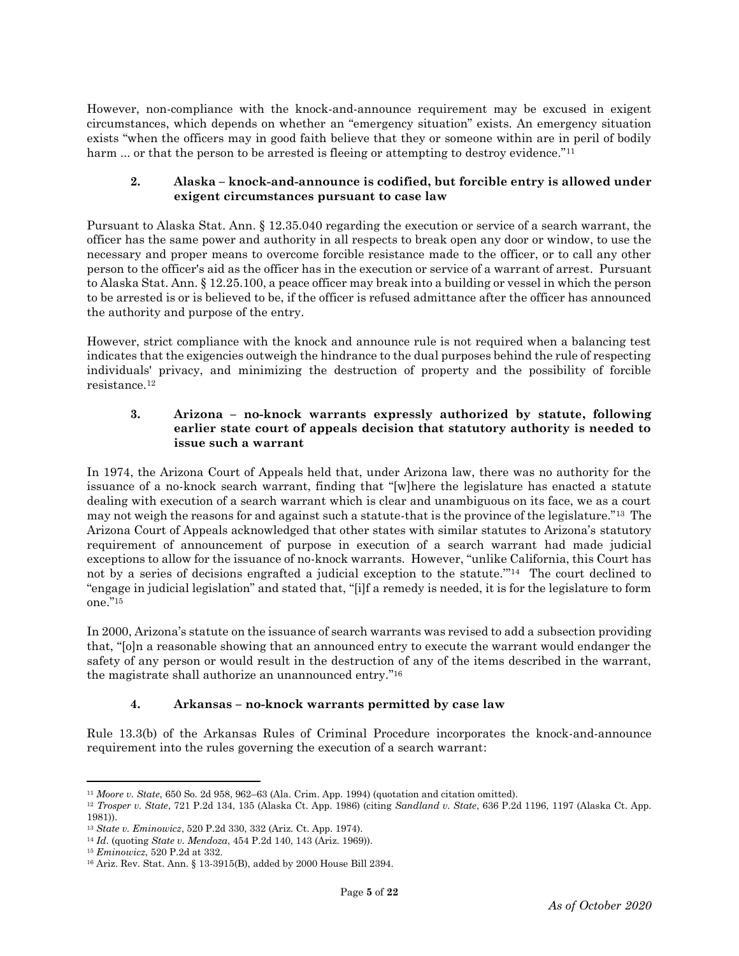However, non-compliance with the knock-and-announce requirement may be excused in exigent circumstances, which depends on whether an "emergency situation" exists. An emergency situation exists "when the officers may in good faith believe that they or someone within are in peril of bodily harm ... or that the person to be arrested is fleeing or attempting to destroy evidence."<sup>11</sup>

## **2. Alaska – knock-and-announce is codified, but forcible entry is allowed under exigent circumstances pursuant to case law**

Pursuant to Alaska Stat. Ann. § 12.35.040 regarding the execution or service of a search warrant, the officer has the same power and authority in all respects to break open any door or window, to use the necessary and proper means to overcome forcible resistance made to the officer, or to call any other person to the officer's aid as the officer has in the execution or service of a warrant of arrest. Pursuant to Alaska Stat. Ann. § 12.25.100, a peace officer may break into a building or vessel in which the person to be arrested is or is believed to be, if the officer is refused admittance after the officer has announced the authority and purpose of the entry.

However, strict compliance with the knock and announce rule is not required when a balancing test indicates that the exigencies outweigh the hindrance to the dual purposes behind the rule of respecting individuals' privacy, and minimizing the destruction of property and the possibility of forcible resistance.<sup>12</sup>

## **3. Arizona – no-knock warrants expressly authorized by statute, following earlier state court of appeals decision that statutory authority is needed to issue such a warrant**

In 1974, the Arizona Court of Appeals held that, under Arizona law, there was no authority for the issuance of a no-knock search warrant, finding that "[w]here the legislature has enacted a statute dealing with execution of a search warrant which is clear and unambiguous on its face, we as a court may not weigh the reasons for and against such a statute-that is the province of the legislature."13 The Arizona Court of Appeals acknowledged that other states with similar statutes to Arizona's statutory requirement of announcement of purpose in execution of a search warrant had made judicial exceptions to allow for the issuance of no-knock warrants. However, "unlike California, this Court has not by a series of decisions engrafted a judicial exception to the statute."<sup>14</sup> The court declined to "engage in judicial legislation" and stated that, "[i]f a remedy is needed, it is for the legislature to form one." 15

In 2000, Arizona's statute on the issuance of search warrants was revised to add a subsection providing that, "[o]n a reasonable showing that an announced entry to execute the warrant would endanger the safety of any person or would result in the destruction of any of the items described in the warrant, the magistrate shall authorize an unannounced entry." 16

# **4. Arkansas – no-knock warrants permitted by case law**

Rule 13.3(b) of the Arkansas Rules of Criminal Procedure incorporates the knock-and-announce requirement into the rules governing the execution of a search warrant:

 $\overline{a}$ <sup>11</sup> *Moore v. State*, 650 So. 2d 958, 962–63 (Ala. Crim. App. 1994) (quotation and citation omitted).

<sup>12</sup> *Trosper v. State*, 721 P.2d 134, 135 (Alaska Ct. App. 1986) (citing *Sandland v. State*, 636 P.2d 1196, 1197 (Alaska Ct. App. 1981)).

<sup>13</sup> *State v. Eminowicz*, 520 P.2d 330, 332 (Ariz. Ct. App. 1974).

<sup>14</sup> *Id*. (quoting *State v. Mendoza*, 454 P.2d 140, 143 (Ariz. 1969)).

<sup>15</sup> *Eminowicz*, 520 P.2d at 332.

<sup>16</sup> Ariz. Rev. Stat. Ann. § 13-3915(B), added by 2000 House Bill 2394.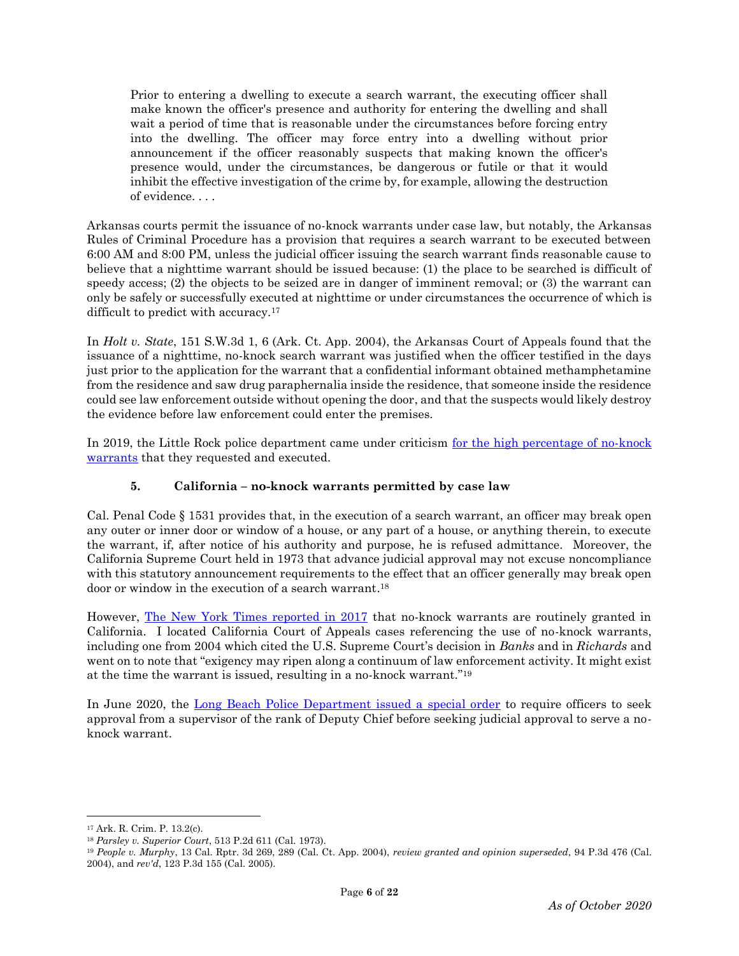Prior to entering a dwelling to execute a search warrant, the executing officer shall make known the officer's presence and authority for entering the dwelling and shall wait a period of time that is reasonable under the circumstances before forcing entry into the dwelling. The officer may force entry into a dwelling without prior announcement if the officer reasonably suspects that making known the officer's presence would, under the circumstances, be dangerous or futile or that it would inhibit the effective investigation of the crime by, for example, allowing the destruction of evidence. . . .

Arkansas courts permit the issuance of no-knock warrants under case law, but notably, the Arkansas Rules of Criminal Procedure has a provision that requires a search warrant to be executed between 6:00 AM and 8:00 PM, unless the judicial officer issuing the search warrant finds reasonable cause to believe that a nighttime warrant should be issued because: (1) the place to be searched is difficult of speedy access; (2) the objects to be seized are in danger of imminent removal; or (3) the warrant can only be safely or successfully executed at nighttime or under circumstances the occurrence of which is difficult to predict with accuracy.<sup>17</sup>

In *Holt v. State*, 151 S.W.3d 1, 6 (Ark. Ct. App. 2004), the Arkansas Court of Appeals found that the issuance of a nighttime, no-knock search warrant was justified when the officer testified in the days just prior to the application for the warrant that a confidential informant obtained methamphetamine from the residence and saw drug paraphernalia inside the residence, that someone inside the residence could see law enforcement outside without opening the door, and that the suspects would likely destroy the evidence before law enforcement could enter the premises.

In 2019, the Little Rock police department came under criticism for the high percentage of no-knock [warrants](https://katv.com/news/local/for-little-rock-police-no-knock-warrants-are-the-rule-not-exception) that they requested and executed.

# **5. California – no-knock warrants permitted by case law**

Cal. Penal Code § 1531 provides that, in the execution of a search warrant, an officer may break open any outer or inner door or window of a house, or any part of a house, or anything therein, to execute the warrant, if, after notice of his authority and purpose, he is refused admittance. Moreover, the California Supreme Court held in 1973 that advance judicial approval may not excuse noncompliance with this statutory announcement requirements to the effect that an officer generally may break open door or window in the execution of a search warrant.<sup>18</sup>

However, [The New York Times reported in 2017](https://www.nytimes.com/interactive/2017/03/18/us/forced-entry-warrant-drug-raid.html) that no-knock warrants are routinely granted in California. I located California Court of Appeals cases referencing the use of no-knock warrants, including one from 2004 which cited the U.S. Supreme Court's decision in *Banks* and in *Richards* and went on to note that "exigency may ripen along a continuum of law enforcement activity. It might exist at the time the warrant is issued, resulting in a no-knock warrant." 19

In June 2020, the [Long Beach Police Department issued a special order](http://www.oc-breeze.com/2020/06/21/183757_lb-police-department-makes-changes-to-requirements-for-no-knock-warrants/) to require officers to seek approval from a supervisor of the rank of Deputy Chief before seeking judicial approval to serve a noknock warrant.

<sup>17</sup> Ark. R. Crim. P. 13.2(c).

<sup>18</sup> *Parsley v. Superior Court*, 513 P.2d 611 (Cal. 1973).

<sup>19</sup> *People v. Murphy*, 13 Cal. Rptr. 3d 269, 289 (Cal. Ct. App. 2004), *review granted and opinion superseded*, 94 P.3d 476 (Cal. 2004), and *rev'd*, 123 P.3d 155 (Cal. 2005).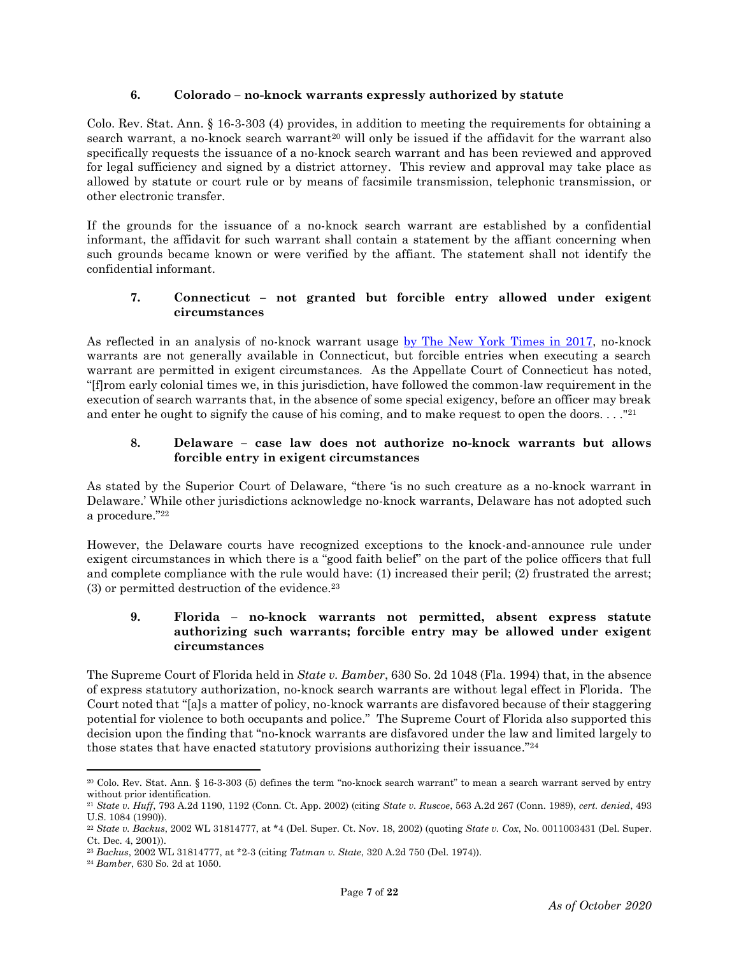## **6. Colorado – no-knock warrants expressly authorized by statute**

Colo. Rev. Stat. Ann. § 16-3-303 (4) provides, in addition to meeting the requirements for obtaining a search warrant, a no-knock search warrant<sup>20</sup> will only be issued if the affidavit for the warrant also specifically requests the issuance of a no-knock search warrant and has been reviewed and approved for legal sufficiency and signed by a district attorney. This review and approval may take place as allowed by statute or court rule or by means of facsimile transmission, telephonic transmission, or other electronic transfer.

If the grounds for the issuance of a no-knock search warrant are established by a confidential informant, the affidavit for such warrant shall contain a statement by the affiant concerning when such grounds became known or were verified by the affiant. The statement shall not identify the confidential informant.

# **7. Connecticut – not granted but forcible entry allowed under exigent circumstances**

As reflected in an analysis of no-knock warrant usage [by The New York Times in 2017,](https://www.nytimes.com/interactive/2017/03/18/us/forced-entry-warrant-drug-raid.html) no-knock warrants are not generally available in Connecticut, but forcible entries when executing a search warrant are permitted in exigent circumstances. As the Appellate Court of Connecticut has noted, "[f]rom early colonial times we, in this jurisdiction, have followed the common-law requirement in the execution of search warrants that, in the absence of some special exigency, before an officer may break and enter he ought to signify the cause of his coming, and to make request to open the doors.  $\ldots$ <sup>21</sup>

## **8. Delaware – case law does not authorize no-knock warrants but allows forcible entry in exigent circumstances**

As stated by the Superior Court of Delaware, "there 'is no such creature as a no-knock warrant in Delaware.' While other jurisdictions acknowledge no-knock warrants, Delaware has not adopted such a procedure."<sup>22</sup>

However, the Delaware courts have recognized exceptions to the knock-and-announce rule under exigent circumstances in which there is a "good faith belief" on the part of the police officers that full and complete compliance with the rule would have: (1) increased their peril; (2) frustrated the arrest; (3) or permitted destruction of the evidence.<sup>23</sup>

## **9. Florida – no-knock warrants not permitted, absent express statute authorizing such warrants; forcible entry may be allowed under exigent circumstances**

The Supreme Court of Florida held in *State v. Bamber*, 630 So. 2d 1048 (Fla. 1994) that, in the absence of express statutory authorization, no-knock search warrants are without legal effect in Florida. The Court noted that "[a]s a matter of policy, no-knock warrants are disfavored because of their staggering potential for violence to both occupants and police." The Supreme Court of Florida also supported this decision upon the finding that "no-knock warrants are disfavored under the law and limited largely to those states that have enacted statutory provisions authorizing their issuance."<sup>24</sup>

<sup>20</sup> Colo. Rev. Stat. Ann. § 16-3-303 (5) defines the term "no-knock search warrant" to mean a search warrant served by entry without prior identification.

<sup>21</sup> *State v. Huff*, 793 A.2d 1190, 1192 (Conn. Ct. App. 2002) (citing *State v. Ruscoe*, 563 A.2d 267 (Conn. 1989), *cert. denied*, 493 U.S. 1084 (1990)).

<sup>22</sup> *State v. Backus*, 2002 WL 31814777, at \*4 (Del. Super. Ct. Nov. 18, 2002) (quoting *State v. Cox*, No. 0011003431 (Del. Super. Ct. Dec. 4, 2001)).

<sup>23</sup> *Backus*, 2002 WL 31814777, at \*2-3 (citing *Tatman v. State*, 320 A.2d 750 (Del. 1974)).

<sup>24</sup> *Bamber*, 630 So. 2d at 1050.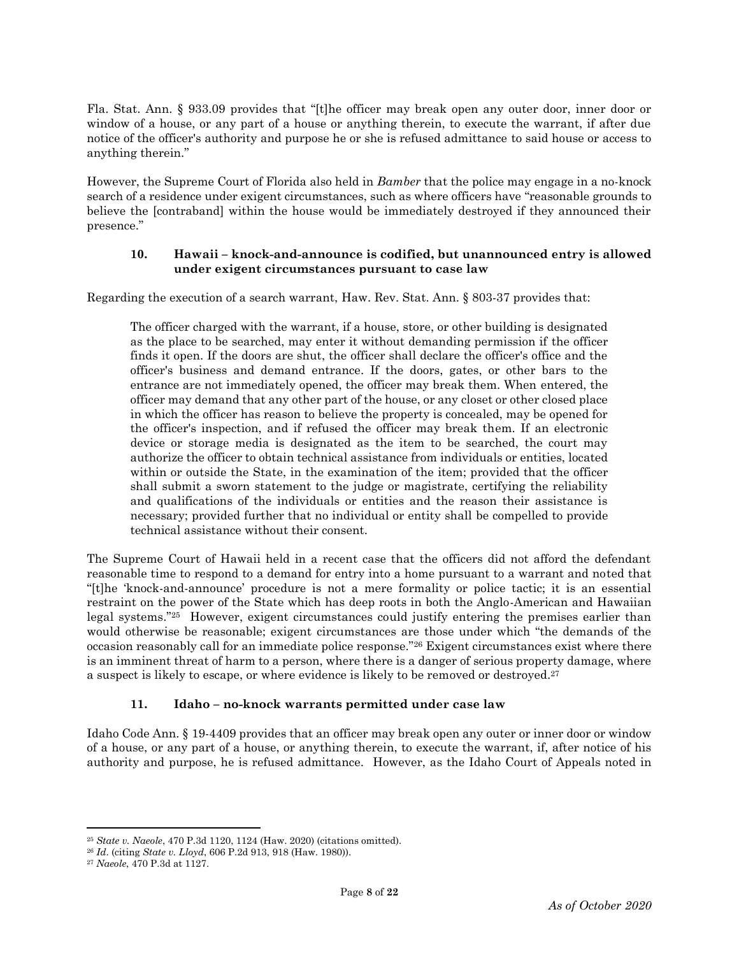Fla. Stat. Ann. § 933.09 provides that "[t]he officer may break open any outer door, inner door or window of a house, or any part of a house or anything therein, to execute the warrant, if after due notice of the officer's authority and purpose he or she is refused admittance to said house or access to anything therein."

However, the Supreme Court of Florida also held in *Bamber* that the police may engage in a no-knock search of a residence under exigent circumstances, such as where officers have "reasonable grounds to believe the [contraband] within the house would be immediately destroyed if they announced their presence."

## **10. Hawaii – knock-and-announce is codified, but unannounced entry is allowed under exigent circumstances pursuant to case law**

Regarding the execution of a search warrant, Haw. Rev. Stat. Ann. § 803-37 provides that:

The officer charged with the warrant, if a house, store, or other building is designated as the place to be searched, may enter it without demanding permission if the officer finds it open. If the doors are shut, the officer shall declare the officer's office and the officer's business and demand entrance. If the doors, gates, or other bars to the entrance are not immediately opened, the officer may break them. When entered, the officer may demand that any other part of the house, or any closet or other closed place in which the officer has reason to believe the property is concealed, may be opened for the officer's inspection, and if refused the officer may break them. If an electronic device or storage media is designated as the item to be searched, the court may authorize the officer to obtain technical assistance from individuals or entities, located within or outside the State, in the examination of the item; provided that the officer shall submit a sworn statement to the judge or magistrate, certifying the reliability and qualifications of the individuals or entities and the reason their assistance is necessary; provided further that no individual or entity shall be compelled to provide technical assistance without their consent.

The Supreme Court of Hawaii held in a recent case that the officers did not afford the defendant reasonable time to respond to a demand for entry into a home pursuant to a warrant and noted that "[t]he 'knock-and-announce' procedure is not a mere formality or police tactic; it is an essential restraint on the power of the State which has deep roots in both the Anglo-American and Hawaiian legal systems."25 However, exigent circumstances could justify entering the premises earlier than would otherwise be reasonable; exigent circumstances are those under which "the demands of the occasion reasonably call for an immediate police response."<sup>26</sup> Exigent circumstances exist where there is an imminent threat of harm to a person, where there is a danger of serious property damage, where a suspect is likely to escape, or where evidence is likely to be removed or destroyed.<sup>27</sup>

# **11. Idaho – no-knock warrants permitted under case law**

Idaho Code Ann. § 19-4409 provides that an officer may break open any outer or inner door or window of a house, or any part of a house, or anything therein, to execute the warrant, if, after notice of his authority and purpose, he is refused admittance. However, as the Idaho Court of Appeals noted in

<sup>25</sup> *State v. Naeole*, 470 P.3d 1120, 1124 (Haw. 2020) (citations omitted).

<sup>26</sup> *Id*. (citing *State v. Lloyd*, 606 P.2d 913, 918 (Haw. 1980)).

<sup>27</sup> *Naeole*, 470 P.3d at 1127.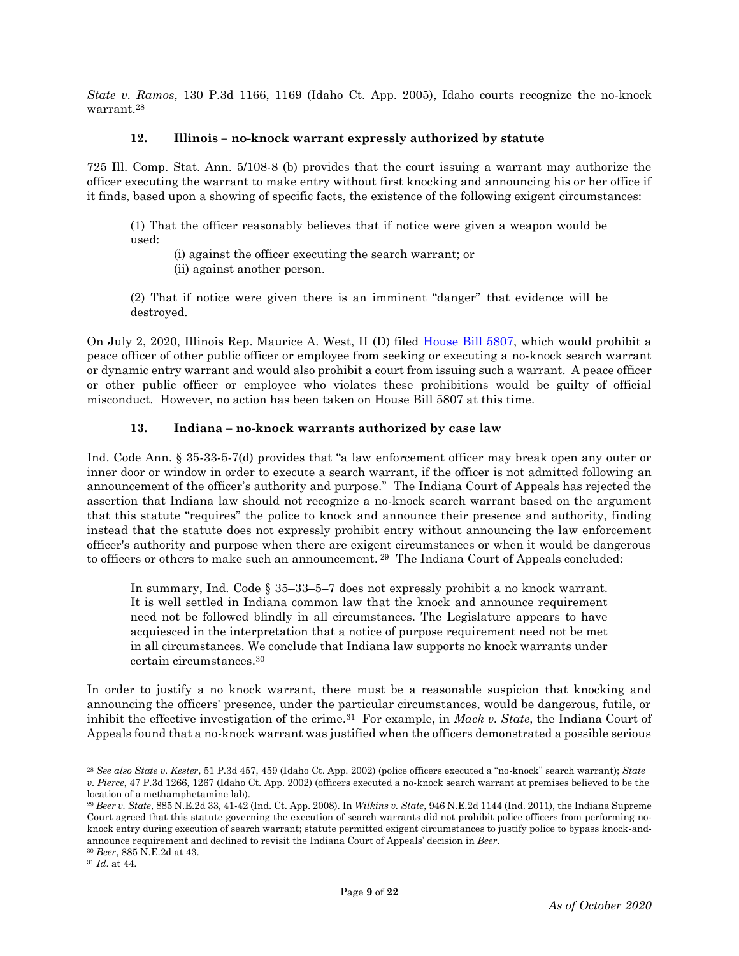*State v. Ramos*, 130 P.3d 1166, 1169 (Idaho Ct. App. 2005), Idaho courts recognize the no-knock warrant.<sup>28</sup>

#### **12. Illinois – no-knock warrant expressly authorized by statute**

725 Ill. Comp. Stat. Ann. 5/108-8 (b) provides that the court issuing a warrant may authorize the officer executing the warrant to make entry without first knocking and announcing his or her office if it finds, based upon a showing of specific facts, the existence of the following exigent circumstances:

(1) That the officer reasonably believes that if notice were given a weapon would be used:

(i) against the officer executing the search warrant; or

(ii) against another person.

(2) That if notice were given there is an imminent "danger" that evidence will be destroyed.

On July 2, 2020, Illinois Rep. Maurice A. West, II (D) filed [House Bill 5807,](https://www.ilga.gov/legislation/BillStatus.asp?DocNum=5807&GAID=15&DocTypeID=HB&SessionID=108&GA=101) which would prohibit a peace officer of other public officer or employee from seeking or executing a no-knock search warrant or dynamic entry warrant and would also prohibit a court from issuing such a warrant. A peace officer or other public officer or employee who violates these prohibitions would be guilty of official misconduct. However, no action has been taken on House Bill 5807 at this time.

# **13. Indiana – no-knock warrants authorized by case law**

Ind. Code Ann. § 35-33-5-7(d) provides that "a law enforcement officer may break open any outer or inner door or window in order to execute a search warrant, if the officer is not admitted following an announcement of the officer's authority and purpose." The Indiana Court of Appeals has rejected the assertion that Indiana law should not recognize a no-knock search warrant based on the argument that this statute "requires" the police to knock and announce their presence and authority, finding instead that the statute does not expressly prohibit entry without announcing the law enforcement officer's authority and purpose when there are exigent circumstances or when it would be dangerous to officers or others to make such an announcement. <sup>29</sup> The Indiana Court of Appeals concluded:

In summary, Ind. Code § 35–33–5–7 does not expressly prohibit a no knock warrant. It is well settled in Indiana common law that the knock and announce requirement need not be followed blindly in all circumstances. The Legislature appears to have acquiesced in the interpretation that a notice of purpose requirement need not be met in all circumstances. We conclude that Indiana law supports no knock warrants under certain circumstances.<sup>30</sup>

In order to justify a no knock warrant, there must be a reasonable suspicion that knocking and announcing the officers' presence, under the particular circumstances, would be dangerous, futile, or inhibit the effective investigation of the crime.31 For example, in *Mack v. State*, the Indiana Court of Appeals found that a no-knock warrant was justified when the officers demonstrated a possible serious

<sup>28</sup> *See also State v. Kester*, 51 P.3d 457, 459 (Idaho Ct. App. 2002) (police officers executed a "no-knock" search warrant); *State v. Pierce*, 47 P.3d 1266, 1267 (Idaho Ct. App. 2002) (officers executed a no-knock search warrant at premises believed to be the location of a methamphetamine lab).

<sup>29</sup> *Beer v. State*, 885 N.E.2d 33, 41-42 (Ind. Ct. App. 2008). In *Wilkins v. State*, 946 N.E.2d 1144 (Ind. 2011), the Indiana Supreme Court agreed that this statute governing the execution of search warrants did not prohibit police officers from performing noknock entry during execution of search warrant; statute permitted exigent circumstances to justify police to bypass knock-andannounce requirement and declined to revisit the Indiana Court of Appeals' decision in *Beer*.

<sup>30</sup> *Beer*, 885 N.E.2d at 43.

<sup>31</sup> *Id*. at 44.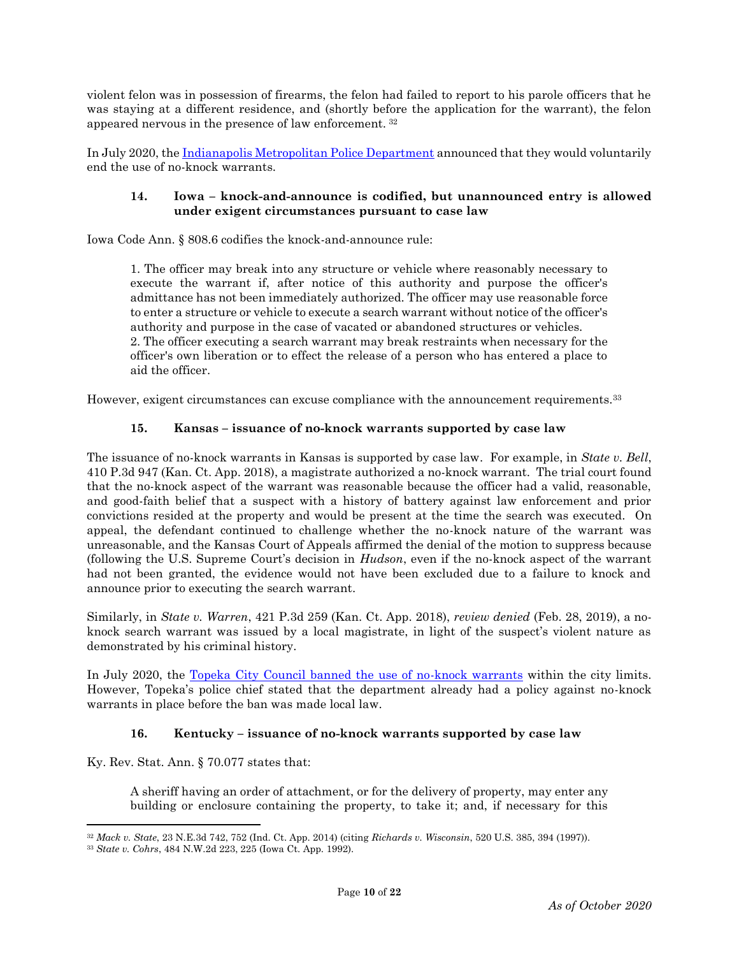violent felon was in possession of firearms, the felon had failed to report to his parole officers that he was staying at a different residence, and (shortly before the application for the warrant), the felon appeared nervous in the presence of law enforcement. <sup>32</sup>

In July 2020, the [Indianapolis Metropolitan Police Department](https://www.indystar.com/story/news/crime/2020/07/22/indianapolis-police-cease-use-no-knock-warrants/5486415002/) announced that they would voluntarily end the use of no-knock warrants.

## **14. Iowa – knock-and-announce is codified, but unannounced entry is allowed under exigent circumstances pursuant to case law**

Iowa Code Ann. § 808.6 codifies the knock-and-announce rule:

1. The officer may break into any structure or vehicle where reasonably necessary to execute the warrant if, after notice of this authority and purpose the officer's admittance has not been immediately authorized. The officer may use reasonable force to enter a structure or vehicle to execute a search warrant without notice of the officer's authority and purpose in the case of vacated or abandoned structures or vehicles. 2. The officer executing a search warrant may break restraints when necessary for the officer's own liberation or to effect the release of a person who has entered a place to aid the officer.

However, exigent circumstances can excuse compliance with the announcement requirements.<sup>33</sup>

# **15. Kansas – issuance of no-knock warrants supported by case law**

The issuance of no-knock warrants in Kansas is supported by case law. For example, in *State v. Bell*, 410 P.3d 947 (Kan. Ct. App. 2018), a magistrate authorized a no-knock warrant. The trial court found that the no-knock aspect of the warrant was reasonable because the officer had a valid, reasonable, and good-faith belief that a suspect with a history of battery against law enforcement and prior convictions resided at the property and would be present at the time the search was executed. On appeal, the defendant continued to challenge whether the no-knock nature of the warrant was unreasonable, and the Kansas Court of Appeals affirmed the denial of the motion to suppress because (following the U.S. Supreme Court's decision in *Hudson*, even if the no-knock aspect of the warrant had not been granted, the evidence would not have been excluded due to a failure to knock and announce prior to executing the search warrant.

Similarly, in *State v. Warren*, 421 P.3d 259 (Kan. Ct. App. 2018), *review denied* (Feb. 28, 2019), a noknock search warrant was issued by a local magistrate, in light of the suspect's violent nature as demonstrated by his criminal history.

In July 2020, the [Topeka City Council banned the use of no-knock warrants](https://www.usnews.com/news/best-states/kansas/articles/2020-07-22/topeka-city-council-bans-use-of-police-no-knock-warrants) within the city limits. However, Topeka's police chief stated that the department already had a policy against no-knock warrants in place before the ban was made local law.

# **16. Kentucky – issuance of no-knock warrants supported by case law**

Ky. Rev. Stat. Ann. § 70.077 states that:

 $\overline{\phantom{a}}$ 

A sheriff having an order of attachment, or for the delivery of property, may enter any building or enclosure containing the property, to take it; and, if necessary for this

<sup>32</sup> *Mack v. State*, 23 N.E.3d 742, 752 (Ind. Ct. App. 2014) (citing *Richards v. Wisconsin*, 520 U.S. 385, 394 (1997)).

<sup>33</sup> *State v. Cohrs*, 484 N.W.2d 223, 225 (Iowa Ct. App. 1992).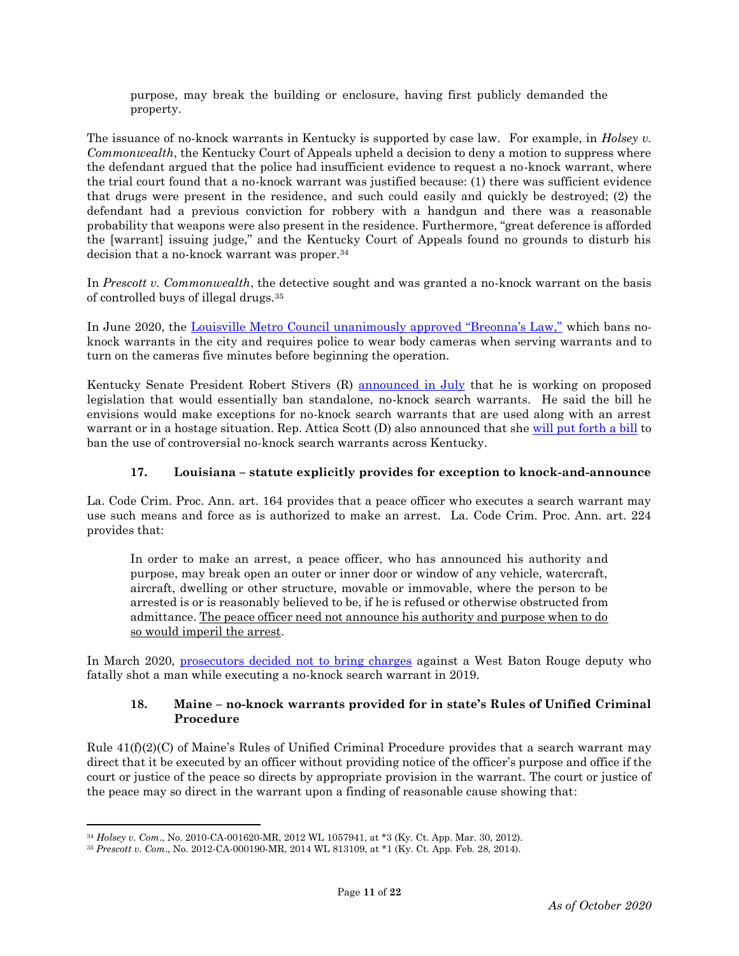purpose, may break the building or enclosure, having first publicly demanded the property.

The issuance of no-knock warrants in Kentucky is supported by case law. For example, in *Holsey v. Commonwealth*, the Kentucky Court of Appeals upheld a decision to deny a motion to suppress where the defendant argued that the police had insufficient evidence to request a no-knock warrant, where the trial court found that a no-knock warrant was justified because: (1) there was sufficient evidence that drugs were present in the residence, and such could easily and quickly be destroyed; (2) the defendant had a previous conviction for robbery with a handgun and there was a reasonable probability that weapons were also present in the residence. Furthermore, "great deference is afforded the [warrant] issuing judge," and the Kentucky Court of Appeals found no grounds to disturb his decision that a no-knock warrant was proper.<sup>34</sup>

In *Prescott v. Commonwealth*, the detective sought and was granted a no-knock warrant on the basis of controlled buys of illegal drugs.<sup>35</sup>

In June 2020, the [Louisville Metro Council unanimously approved "Breonna's Law,"](https://www.npr.org/sections/live-updates-protests-for-racial-justice/2020/06/11/875466130/no-knock-warrants-banned-in-louisville-in-law-named-for-breonna-taylor) which bans noknock warrants in the city and requires police to wear body cameras when serving warrants and to turn on the cameras five minutes before beginning the operation.

Kentucky Senate President Robert Stivers (R) [announced in July](https://www.courier-journal.com/story/news/2020/07/09/breonna-taylor-shooting-stivers-proposes-ban-most-no-knocks/5399597002/) that he is working on proposed legislation that would essentially ban standalone, no-knock search warrants. He said the bill he envisions would make exceptions for no-knock search warrants that are used along with an arrest warrant or in a hostage situation. Rep. Attica Scott (D) also announced that she [will put forth a bill](https://www.courier-journal.com/story/news/local/breonna-taylor/2020/08/16/kentucky-breonnas-law-would-ban-no-knock-search-warrants/5584032002/) to ban the use of controversial no-knock search warrants across Kentucky.

# **17. Louisiana – statute explicitly provides for exception to knock-and-announce**

La. Code Crim. Proc. Ann. art. 164 provides that a peace officer who executes a search warrant may use such means and force as is authorized to make an arrest. La. Code Crim. Proc. Ann. art. 224 provides that:

In order to make an arrest, a peace officer, who has announced his authority and purpose, may break open an outer or inner door or window of any vehicle, watercraft, aircraft, dwelling or other structure, movable or immovable, where the person to be arrested is or is reasonably believed to be, if he is refused or otherwise obstructed from admittance. The peace officer need not announce his authority and purpose when to do so would imperil the arrest.

In March 2020, [prosecutors decided not to bring charges](https://www.policemag.com/548013/louisiana-deputy-cleared-after-fatal-shooting-in-no-knock-drug-raid) against a West Baton Rouge deputy who fatally shot a man while executing a no-knock search warrant in 2019.

## **18. Maine – no-knock warrants provided for in state's Rules of Unified Criminal Procedure**

Rule 41(f)(2)(C) of Maine's Rules of Unified Criminal Procedure provides that a search warrant may direct that it be executed by an officer without providing notice of the officer's purpose and office if the court or justice of the peace so directs by appropriate provision in the warrant. The court or justice of the peace may so direct in the warrant upon a finding of reasonable cause showing that:

<sup>34</sup> *Holsey v. Com*., No. 2010-CA-001620-MR, 2012 WL 1057941, at \*3 (Ky. Ct. App. Mar. 30, 2012).

<sup>35</sup> *Prescott v. Com*., No. 2012-CA-000190-MR, 2014 WL 813109, at \*1 (Ky. Ct. App. Feb. 28, 2014).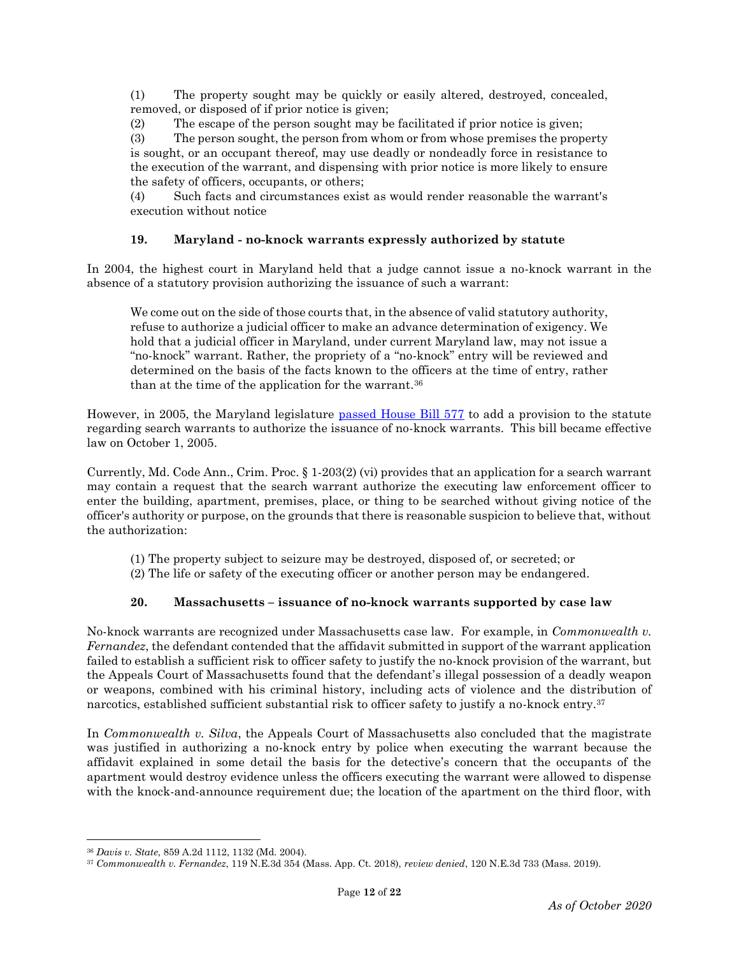(1) The property sought may be quickly or easily altered, destroyed, concealed, removed, or disposed of if prior notice is given;

(2) The escape of the person sought may be facilitated if prior notice is given;

(3) The person sought, the person from whom or from whose premises the property is sought, or an occupant thereof, may use deadly or nondeadly force in resistance to the execution of the warrant, and dispensing with prior notice is more likely to ensure the safety of officers, occupants, or others;

(4) Such facts and circumstances exist as would render reasonable the warrant's execution without notice

## **19. Maryland - no-knock warrants expressly authorized by statute**

In 2004, the highest court in Maryland held that a judge cannot issue a no-knock warrant in the absence of a statutory provision authorizing the issuance of such a warrant:

We come out on the side of those courts that, in the absence of valid statutory authority, refuse to authorize a judicial officer to make an advance determination of exigency. We hold that a judicial officer in Maryland, under current Maryland law, may not issue a "no-knock" warrant. Rather, the propriety of a "no-knock" entry will be reviewed and determined on the basis of the facts known to the officers at the time of entry, rather than at the time of the application for the warrant.<sup>36</sup>

However, in 2005, the Maryland legislature [passed House Bill 577](http://mlis.state.md.us/2005rs/billfile/hb0577.htm) to add a provision to the statute regarding search warrants to authorize the issuance of no-knock warrants. This bill became effective law on October 1, 2005.

Currently, Md. Code Ann., Crim. Proc. § 1-203(2) (vi) provides that an application for a search warrant may contain a request that the search warrant authorize the executing law enforcement officer to enter the building, apartment, premises, place, or thing to be searched without giving notice of the officer's authority or purpose, on the grounds that there is reasonable suspicion to believe that, without the authorization:

(1) The property subject to seizure may be destroyed, disposed of, or secreted; or

(2) The life or safety of the executing officer or another person may be endangered.

# **20. Massachusetts – issuance of no-knock warrants supported by case law**

No-knock warrants are recognized under Massachusetts case law. For example, in *Commonwealth v. Fernandez*, the defendant contended that the affidavit submitted in support of the warrant application failed to establish a sufficient risk to officer safety to justify the no-knock provision of the warrant, but the Appeals Court of Massachusetts found that the defendant's illegal possession of a deadly weapon or weapons, combined with his criminal history, including acts of violence and the distribution of narcotics, established sufficient substantial risk to officer safety to justify a no-knock entry.<sup>37</sup>

In *Commonwealth v. Silva*, the Appeals Court of Massachusetts also concluded that the magistrate was justified in authorizing a no-knock entry by police when executing the warrant because the affidavit explained in some detail the basis for the detective's concern that the occupants of the apartment would destroy evidence unless the officers executing the warrant were allowed to dispense with the knock-and-announce requirement due; the location of the apartment on the third floor, with

l

<sup>36</sup> *Davis v. State*, 859 A.2d 1112, 1132 (Md. 2004).

<sup>37</sup> *Commonwealth v. Fernandez*, 119 N.E.3d 354 (Mass. App. Ct. 2018), *review denied*, 120 N.E.3d 733 (Mass. 2019).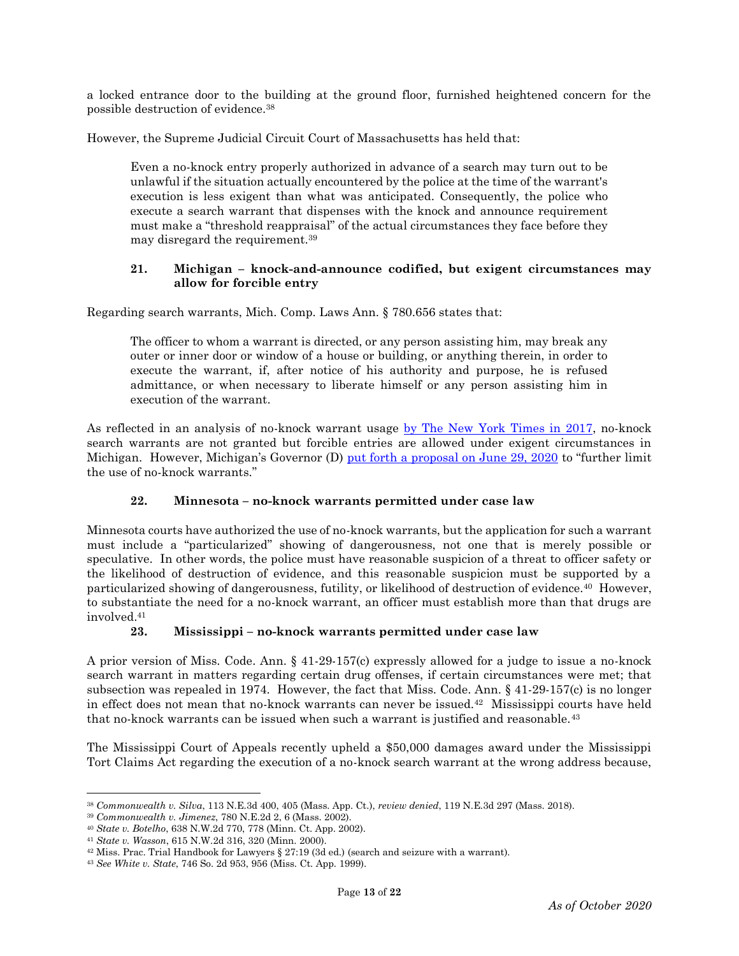a locked entrance door to the building at the ground floor, furnished heightened concern for the possible destruction of evidence.<sup>38</sup>

However, the Supreme Judicial Circuit Court of Massachusetts has held that:

Even a no-knock entry properly authorized in advance of a search may turn out to be unlawful if the situation actually encountered by the police at the time of the warrant's execution is less exigent than what was anticipated. Consequently, the police who execute a search warrant that dispenses with the knock and announce requirement must make a "threshold reappraisal" of the actual circumstances they face before they may disregard the requirement.<sup>39</sup>

## **21. Michigan – knock-and-announce codified, but exigent circumstances may allow for forcible entry**

Regarding search warrants, Mich. Comp. Laws Ann. § 780.656 states that:

The officer to whom a warrant is directed, or any person assisting him, may break any outer or inner door or window of a house or building, or anything therein, in order to execute the warrant, if, after notice of his authority and purpose, he is refused admittance, or when necessary to liberate himself or any person assisting him in execution of the warrant.

As reflected in an analysis of no-knock warrant usage [by The New York Times in 2017,](https://www.nytimes.com/interactive/2017/03/18/us/forced-entry-warrant-drug-raid.html) no-knock search warrants are not granted but forcible entries are allowed under exigent circumstances in Michigan. However, Michigan's Governor (D) [put forth a proposal on June 29, 2020](https://www.michigan.gov/whitmer/0,9309,7-387-90499_90640-533217--,00.html) to "further limit" the use of no-knock warrants."

# **22. Minnesota – no-knock warrants permitted under case law**

Minnesota courts have authorized the use of no-knock warrants, but the application for such a warrant must include a "particularized" showing of dangerousness, not one that is merely possible or speculative. In other words, the police must have reasonable suspicion of a threat to officer safety or the likelihood of destruction of evidence, and this reasonable suspicion must be supported by a particularized showing of dangerousness, futility, or likelihood of destruction of evidence.40 However, to substantiate the need for a no-knock warrant, an officer must establish more than that drugs are involved. 41

#### **23. Mississippi – no-knock warrants permitted under case law**

A prior version of Miss. Code. Ann. § 41-29-157(c) expressly allowed for a judge to issue a no-knock search warrant in matters regarding certain drug offenses, if certain circumstances were met; that subsection was repealed in 1974. However, the fact that Miss. Code. Ann. § 41-29-157(c) is no longer in effect does not mean that no-knock warrants can never be issued.42 Mississippi courts have held that no-knock warrants can be issued when such a warrant is justified and reasonable.<sup>43</sup>

The Mississippi Court of Appeals recently upheld a \$50,000 damages award under the Mississippi Tort Claims Act regarding the execution of a no-knock search warrant at the wrong address because,

 $\overline{\phantom{a}}$ <sup>38</sup> *Commonwealth v. Silva*, 113 N.E.3d 400, 405 (Mass. App. Ct.), *review denied*, 119 N.E.3d 297 (Mass. 2018).

<sup>39</sup> *Commonwealth v. Jimenez*, 780 N.E.2d 2, 6 (Mass. 2002).

<sup>40</sup> *State v. Botelho*, 638 N.W.2d 770, 778 (Minn. Ct. App. 2002).

<sup>41</sup> *State v. Wasson*, 615 N.W.2d 316, 320 (Minn. 2000).

 $42$  Miss. Prac. Trial Handbook for Lawyers § 27:19 (3d ed.) (search and seizure with a warrant).

<sup>43</sup> *See White v. State*, 746 So. 2d 953, 956 (Miss. Ct. App. 1999).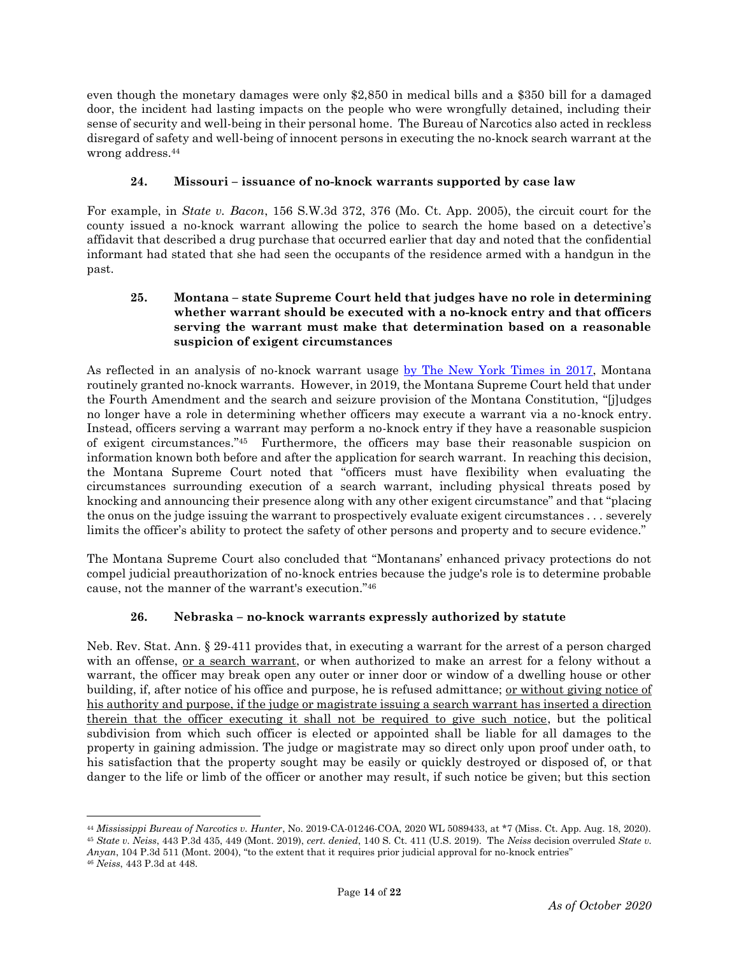even though the monetary damages were only \$2,850 in medical bills and a \$350 bill for a damaged door, the incident had lasting impacts on the people who were wrongfully detained, including their sense of security and well-being in their personal home. The Bureau of Narcotics also acted in reckless disregard of safety and well-being of innocent persons in executing the no-knock search warrant at the wrong address.<sup>44</sup>

# **24. Missouri – issuance of no-knock warrants supported by case law**

For example, in *State v. Bacon*, 156 S.W.3d 372, 376 (Mo. Ct. App. 2005), the circuit court for the county issued a no-knock warrant allowing the police to search the home based on a detective's affidavit that described a drug purchase that occurred earlier that day and noted that the confidential informant had stated that she had seen the occupants of the residence armed with a handgun in the past.

# **25. Montana – state Supreme Court held that judges have no role in determining whether warrant should be executed with a no-knock entry and that officers serving the warrant must make that determination based on a reasonable suspicion of exigent circumstances**

As reflected in an analysis of no-knock warrant usage [by The New York Times in 2017,](https://www.nytimes.com/interactive/2017/03/18/us/forced-entry-warrant-drug-raid.html) Montana routinely granted no-knock warrants. However, in 2019, the Montana Supreme Court held that under the Fourth Amendment and the search and seizure provision of the Montana Constitution, "[j]udges no longer have a role in determining whether officers may execute a warrant via a no-knock entry. Instead, officers serving a warrant may perform a no-knock entry if they have a reasonable suspicion of exigent circumstances."45 Furthermore, the officers may base their reasonable suspicion on information known both before and after the application for search warrant. In reaching this decision, the Montana Supreme Court noted that "officers must have flexibility when evaluating the circumstances surrounding execution of a search warrant, including physical threats posed by knocking and announcing their presence along with any other exigent circumstance" and that "placing the onus on the judge issuing the warrant to prospectively evaluate exigent circumstances . . . severely limits the officer's ability to protect the safety of other persons and property and to secure evidence."

The Montana Supreme Court also concluded that "Montanans' enhanced privacy protections do not compel judicial preauthorization of no-knock entries because the judge's role is to determine probable cause, not the manner of the warrant's execution." 46

# **26. Nebraska – no-knock warrants expressly authorized by statute**

Neb. Rev. Stat. Ann. § 29-411 provides that, in executing a warrant for the arrest of a person charged with an offense, <u>or a search warrant</u>, or when authorized to make an arrest for a felony without a warrant, the officer may break open any outer or inner door or window of a dwelling house or other building, if, after notice of his office and purpose, he is refused admittance; <u>or without giving notice of</u> his authority and purpose, if the judge or magistrate issuing a search warrant has inserted a direction therein that the officer executing it shall not be required to give such notice, but the political subdivision from which such officer is elected or appointed shall be liable for all damages to the property in gaining admission. The judge or magistrate may so direct only upon proof under oath, to his satisfaction that the property sought may be easily or quickly destroyed or disposed of, or that danger to the life or limb of the officer or another may result, if such notice be given; but this section

<sup>44</sup> *Mississippi Bureau of Narcotics v. Hunter*, No. 2019-CA-01246-COA, 2020 WL 5089433, at \*7 (Miss. Ct. App. Aug. 18, 2020). <sup>45</sup> *State v. Neiss*, 443 P.3d 435, 449 (Mont. 2019), *cert. denied*, 140 S. Ct. 411 (U.S. 2019). The *Neiss* decision overruled *State v. Anyan*, 104 P.3d 511 (Mont. 2004), "to the extent that it requires prior judicial approval for no-knock entries"

<sup>46</sup> *Neiss*, 443 P.3d at 448.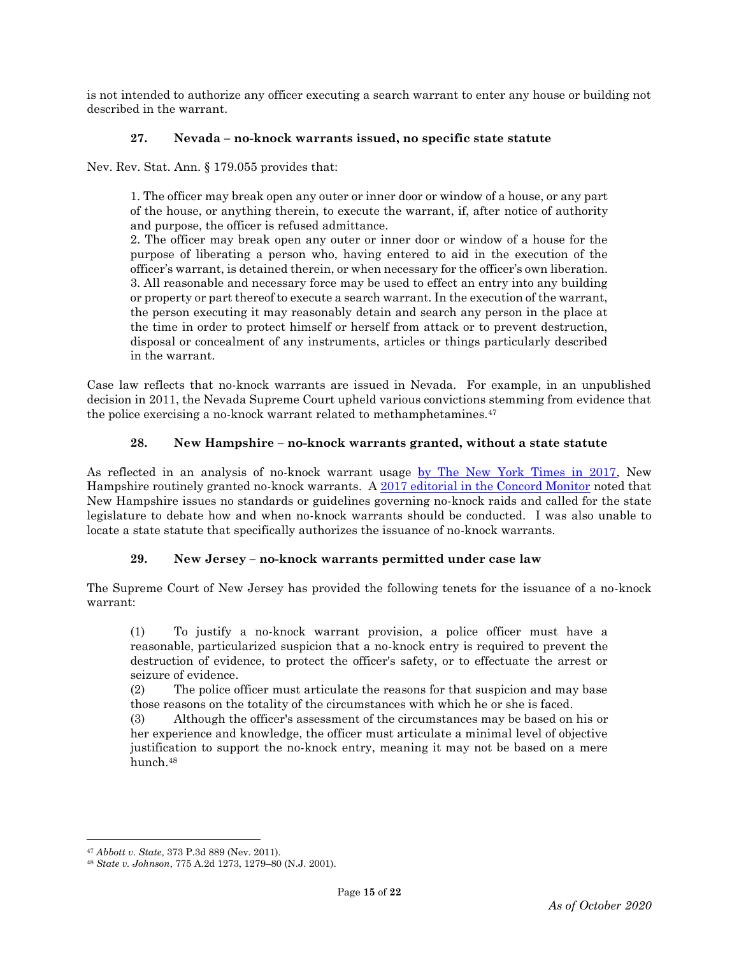is not intended to authorize any officer executing a search warrant to enter any house or building not described in the warrant.

# **27. Nevada – no-knock warrants issued, no specific state statute**

Nev. Rev. Stat. Ann. § 179.055 provides that:

1. The officer may break open any outer or inner door or window of a house, or any part of the house, or anything therein, to execute the warrant, if, after notice of authority and purpose, the officer is refused admittance.

2. The officer may break open any outer or inner door or window of a house for the purpose of liberating a person who, having entered to aid in the execution of the officer's warrant, is detained therein, or when necessary for the officer's own liberation. 3. All reasonable and necessary force may be used to effect an entry into any building or property or part thereof to execute a search warrant. In the execution of the warrant, the person executing it may reasonably detain and search any person in the place at the time in order to protect himself or herself from attack or to prevent destruction, disposal or concealment of any instruments, articles or things particularly described in the warrant.

Case law reflects that no-knock warrants are issued in Nevada. For example, in an unpublished decision in 2011, the Nevada Supreme Court upheld various convictions stemming from evidence that the police exercising a no-knock warrant related to methamphetamines.<sup>47</sup>

## **28. New Hampshire – no-knock warrants granted, without a state statute**

As reflected in an analysis of no-knock warrant usage [by The New York Times in 2017,](https://www.nytimes.com/interactive/2017/03/18/us/forced-entry-warrant-drug-raid.html) New Hampshire routinely granted no-knock warrants. A [2017 editorial in the Concord Monitor](https://www.concordmonitor.com/The-danger-of-no-knock-raids-8822918) noted that New Hampshire issues no standards or guidelines governing no-knock raids and called for the state legislature to debate how and when no-knock warrants should be conducted. I was also unable to locate a state statute that specifically authorizes the issuance of no-knock warrants.

#### **29. New Jersey – no-knock warrants permitted under case law**

The Supreme Court of New Jersey has provided the following tenets for the issuance of a no-knock warrant:

(1) To justify a no-knock warrant provision, a police officer must have a reasonable, particularized suspicion that a no-knock entry is required to prevent the destruction of evidence, to protect the officer's safety, or to effectuate the arrest or seizure of evidence.

(2) The police officer must articulate the reasons for that suspicion and may base those reasons on the totality of the circumstances with which he or she is faced.

(3) Although the officer's assessment of the circumstances may be based on his or her experience and knowledge, the officer must articulate a minimal level of objective justification to support the no-knock entry, meaning it may not be based on a mere hunch.<sup>48</sup>

l <sup>47</sup> *Abbott v. State*, 373 P.3d 889 (Nev. 2011).

<sup>48</sup> *State v. Johnson*, 775 A.2d 1273, 1279–80 (N.J. 2001).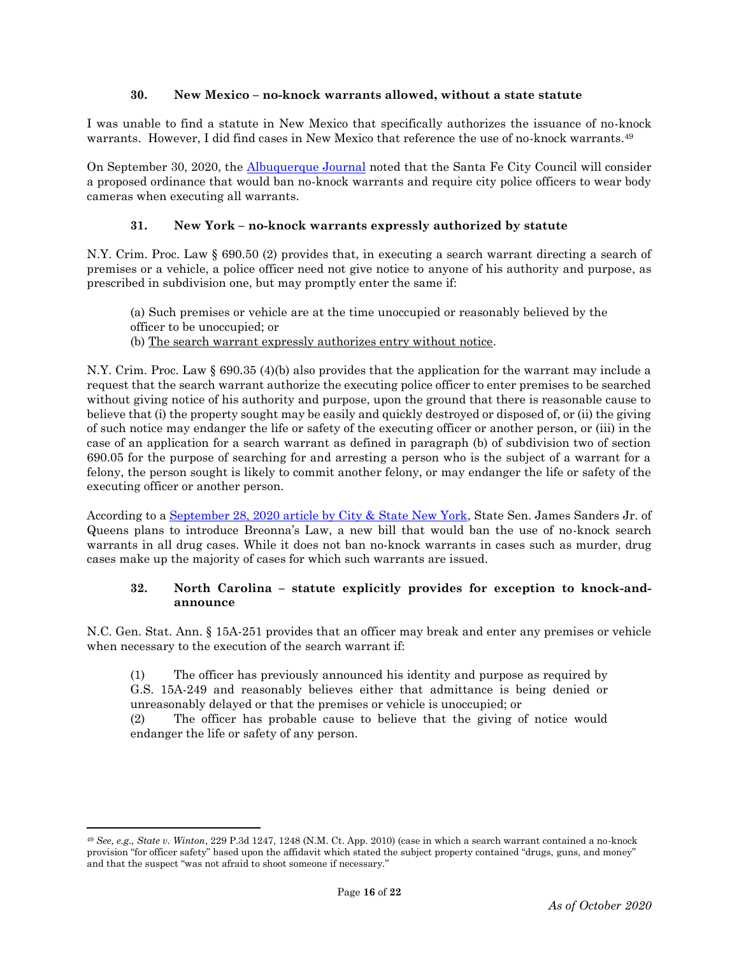## **30. New Mexico – no-knock warrants allowed, without a state statute**

I was unable to find a statute in New Mexico that specifically authorizes the issuance of no-knock warrants. However, I did find cases in New Mexico that reference the use of no-knock warrants.<sup>49</sup>

On September 30, 2020, the [Albuquerque Journal](https://www.abqjournal.com/1502404/santa-fe-to-consider-ban-on-noknock-warrants.html) noted that the Santa Fe City Council will consider a proposed ordinance that would ban no-knock warrants and require city police officers to wear body cameras when executing all warrants.

# **31. New York – no-knock warrants expressly authorized by statute**

N.Y. Crim. Proc. Law § 690.50 (2) provides that, in executing a search warrant directing a search of premises or a vehicle, a police officer need not give notice to anyone of his authority and purpose, as prescribed in subdivision one, but may promptly enter the same if:

- (a) Such premises or vehicle are at the time unoccupied or reasonably believed by the officer to be unoccupied; or
- (b) The search warrant expressly authorizes entry without notice.

N.Y. Crim. Proc. Law § 690.35 (4)(b) also provides that the application for the warrant may include a request that the search warrant authorize the executing police officer to enter premises to be searched without giving notice of his authority and purpose, upon the ground that there is reasonable cause to believe that (i) the property sought may be easily and quickly destroyed or disposed of, or (ii) the giving of such notice may endanger the life or safety of the executing officer or another person, or (iii) in the case of an application for a search warrant as defined in paragraph (b) of subdivision two of section 690.05 for the purpose of searching for and arresting a person who is the subject of a warrant for a felony, the person sought is likely to commit another felony, or may endanger the life or safety of the executing officer or another person.

According to a [September 28, 2020 article by City & State New York,](https://www.cityandstateny.com/articles/policy/criminal-justice/no-knock-search-warrants-may-be-heading-out-door-new-york.html) State Sen. James Sanders Jr. of Queens plans to introduce Breonna's Law, a new bill that would ban the use of no-knock search warrants in all drug cases. While it does not ban no-knock warrants in cases such as murder, drug cases make up the majority of cases for which such warrants are issued.

## **32. North Carolina – statute explicitly provides for exception to knock-andannounce**

N.C. Gen. Stat. Ann. § 15A-251 provides that an officer may break and enter any premises or vehicle when necessary to the execution of the search warrant if:

(1) The officer has previously announced his identity and purpose as required by G.S. 15A-249 and reasonably believes either that admittance is being denied or unreasonably delayed or that the premises or vehicle is unoccupied; or

(2) The officer has probable cause to believe that the giving of notice would endanger the life or safety of any person.

<sup>49</sup> *See, e.g., State v. Winton*, 229 P.3d 1247, 1248 (N.M. Ct. App. 2010) (case in which a search warrant contained a no-knock provision "for officer safety" based upon the affidavit which stated the subject property contained "drugs, guns, and money" and that the suspect "was not afraid to shoot someone if necessary."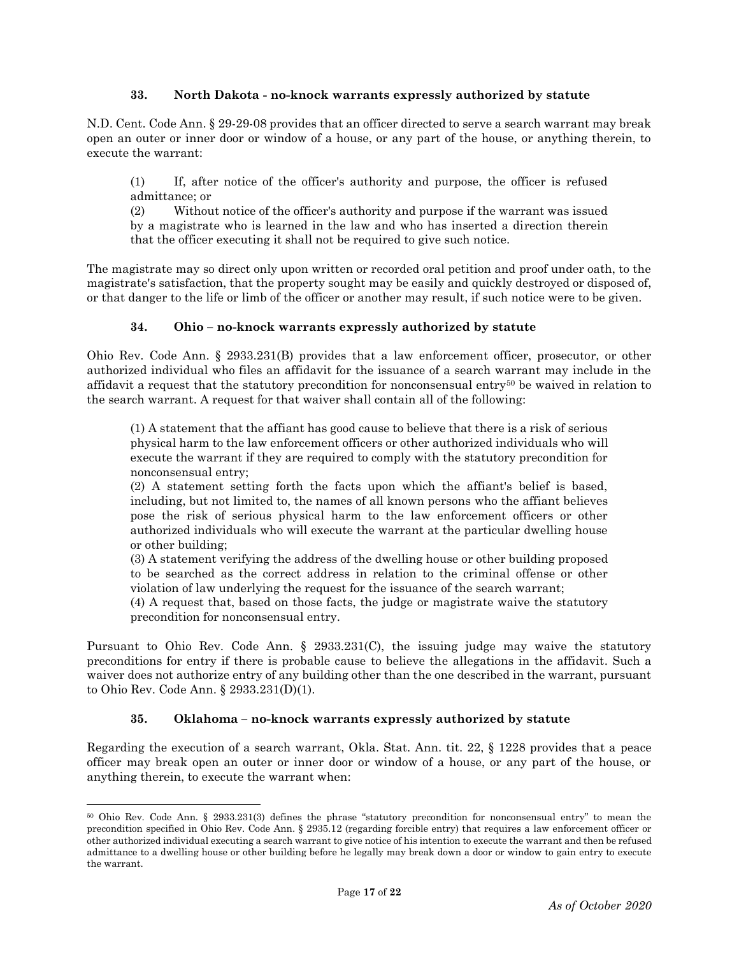## **33. North Dakota - no-knock warrants expressly authorized by statute**

N.D. Cent. Code Ann. § 29-29-08 provides that an officer directed to serve a search warrant may break open an outer or inner door or window of a house, or any part of the house, or anything therein, to execute the warrant:

(1) If, after notice of the officer's authority and purpose, the officer is refused admittance; or

(2) Without notice of the officer's authority and purpose if the warrant was issued by a magistrate who is learned in the law and who has inserted a direction therein that the officer executing it shall not be required to give such notice.

The magistrate may so direct only upon written or recorded oral petition and proof under oath, to the magistrate's satisfaction, that the property sought may be easily and quickly destroyed or disposed of, or that danger to the life or limb of the officer or another may result, if such notice were to be given.

## **34. Ohio – no-knock warrants expressly authorized by statute**

Ohio Rev. Code Ann. § 2933.231(B) provides that a law enforcement officer, prosecutor, or other authorized individual who files an affidavit for the issuance of a search warrant may include in the affidavit a request that the statutory precondition for nonconsensual entry<sup>50</sup> be waived in relation to the search warrant. A request for that waiver shall contain all of the following:

(1) A statement that the affiant has good cause to believe that there is a risk of serious physical harm to the law enforcement officers or other authorized individuals who will execute the warrant if they are required to comply with the statutory precondition for nonconsensual entry;

(2) A statement setting forth the facts upon which the affiant's belief is based, including, but not limited to, the names of all known persons who the affiant believes pose the risk of serious physical harm to the law enforcement officers or other authorized individuals who will execute the warrant at the particular dwelling house or other building;

(3) A statement verifying the address of the dwelling house or other building proposed to be searched as the correct address in relation to the criminal offense or other violation of law underlying the request for the issuance of the search warrant;

(4) A request that, based on those facts, the judge or magistrate waive the statutory precondition for nonconsensual entry.

Pursuant to Ohio Rev. Code Ann. § 2933.231(C), the issuing judge may waive the statutory preconditions for entry if there is probable cause to believe the allegations in the affidavit. Such a waiver does not authorize entry of any building other than the one described in the warrant, pursuant to Ohio Rev. Code Ann. § 2933.231(D)(1).

#### **35. Oklahoma – no-knock warrants expressly authorized by statute**

l

Regarding the execution of a search warrant, Okla. Stat. Ann. tit. 22, § 1228 provides that a peace officer may break open an outer or inner door or window of a house, or any part of the house, or anything therein, to execute the warrant when:

<sup>50</sup> Ohio Rev. Code Ann. § 2933.231(3) defines the phrase "statutory precondition for nonconsensual entry" to mean the precondition specified in Ohio Rev. Code Ann. § 2935.12 (regarding forcible entry) that requires a law enforcement officer or other authorized individual executing a search warrant to give notice of his intention to execute the warrant and then be refused admittance to a dwelling house or other building before he legally may break down a door or window to gain entry to execute the warrant.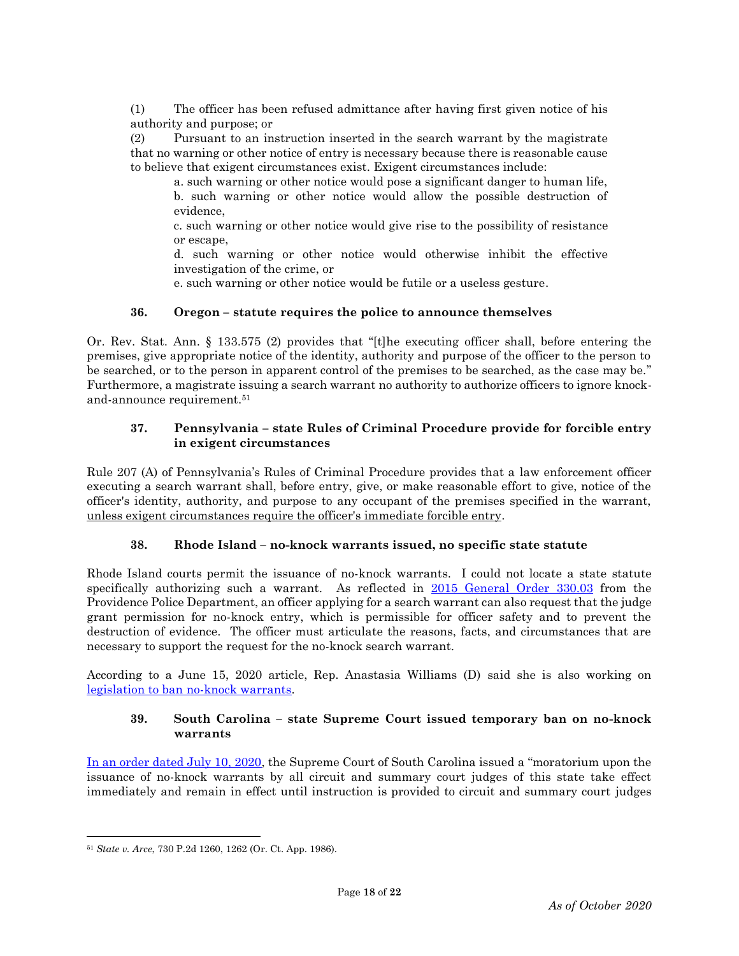(1) The officer has been refused admittance after having first given notice of his authority and purpose; or

(2) Pursuant to an instruction inserted in the search warrant by the magistrate that no warning or other notice of entry is necessary because there is reasonable cause to believe that exigent circumstances exist. Exigent circumstances include:

a. such warning or other notice would pose a significant danger to human life,

b. such warning or other notice would allow the possible destruction of evidence,

c. such warning or other notice would give rise to the possibility of resistance or escape,

d. such warning or other notice would otherwise inhibit the effective investigation of the crime, or

e. such warning or other notice would be futile or a useless gesture.

## **36. Oregon – statute requires the police to announce themselves**

Or. Rev. Stat. Ann. § 133.575 (2) provides that "[t]he executing officer shall, before entering the premises, give appropriate notice of the identity, authority and purpose of the officer to the person to be searched, or to the person in apparent control of the premises to be searched, as the case may be." Furthermore, a magistrate issuing a search warrant no authority to authorize officers to ignore knockand-announce requirement. 51

## **37. Pennsylvania – state Rules of Criminal Procedure provide for forcible entry in exigent circumstances**

Rule 207 (A) of Pennsylvania's Rules of Criminal Procedure provides that a law enforcement officer executing a search warrant shall, before entry, give, or make reasonable effort to give, notice of the officer's identity, authority, and purpose to any occupant of the premises specified in the warrant, unless exigent circumstances require the officer's immediate forcible entry.

# **38. Rhode Island – no-knock warrants issued, no specific state statute**

Rhode Island courts permit the issuance of no-knock warrants. I could not locate a state statute specifically authorizing such a warrant. As reflected in [2015 General Order 330.03](http://www.providenceri.com/sites/default/files/ppd-directives/330.03%20-%20Search%20and%20Seizure.pdf) from the Providence Police Department, an officer applying for a search warrant can also request that the judge grant permission for no-knock entry, which is permissible for officer safety and to prevent the destruction of evidence. The officer must articulate the reasons, facts, and circumstances that are necessary to support the request for the no-knock search warrant.

According to a June 15, 2020 article, Rep. Anastasia Williams (D) said she is also working on legislation to ban [no-knock warrants.](https://www.wpri.com/news/politics/ri-lawmaker-creating-legislation-banning-no-knock-warrants/)

## **39. South Carolina – state Supreme Court issued temporary ban on no-knock warrants**

[In an order dated July 10, 2020,](https://www.sccourts.org/courtOrders/displayOrder.cfm?orderNo=2020-07-10-01) the Supreme Court of South Carolina issued a "moratorium upon the issuance of no-knock warrants by all circuit and summary court judges of this state take effect immediately and remain in effect until instruction is provided to circuit and summary court judges

l

<sup>51</sup> *State v. Arce*, 730 P.2d 1260, 1262 (Or. Ct. App. 1986).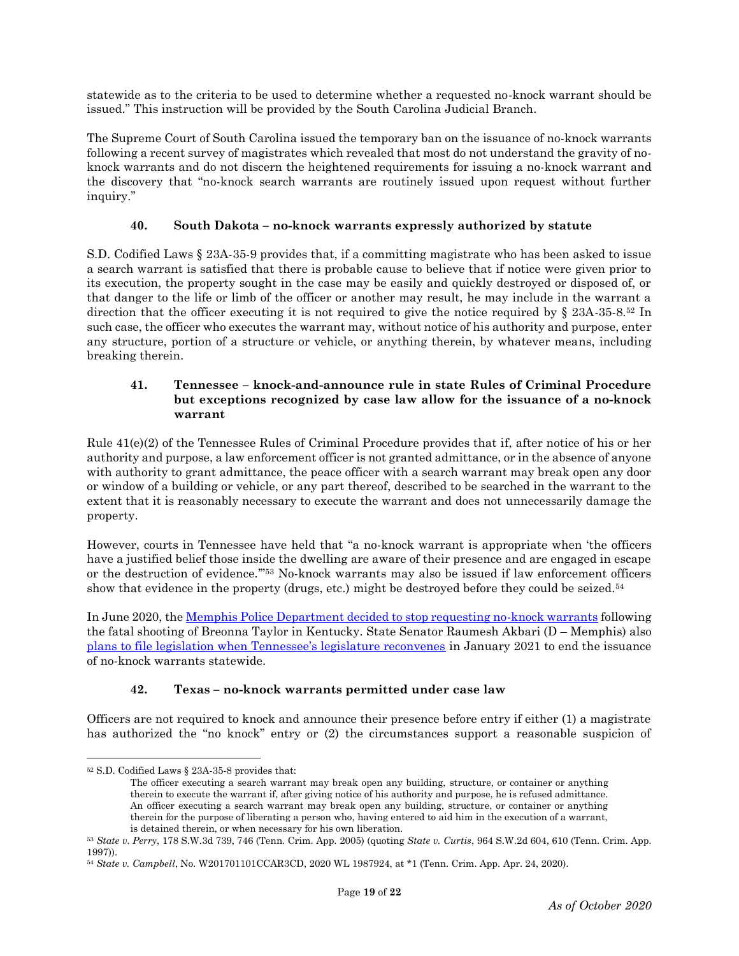statewide as to the criteria to be used to determine whether a requested no-knock warrant should be issued." This instruction will be provided by the South Carolina Judicial Branch.

The Supreme Court of South Carolina issued the temporary ban on the issuance of no-knock warrants following a recent survey of magistrates which revealed that most do not understand the gravity of noknock warrants and do not discern the heightened requirements for issuing a no-knock warrant and the discovery that "no-knock search warrants are routinely issued upon request without further inquiry."

## **40. South Dakota – no-knock warrants expressly authorized by statute**

S.D. Codified Laws § 23A-35-9 provides that, if a committing magistrate who has been asked to issue a search warrant is satisfied that there is probable cause to believe that if notice were given prior to its execution, the property sought in the case may be easily and quickly destroyed or disposed of, or that danger to the life or limb of the officer or another may result, he may include in the warrant a direction that the officer executing it is not required to give the notice required by § 23A-35-8.<sup>52</sup> In such case, the officer who executes the warrant may, without notice of his authority and purpose, enter any structure, portion of a structure or vehicle, or anything therein, by whatever means, including breaking therein.

## **41. Tennessee – knock-and-announce rule in state Rules of Criminal Procedure but exceptions recognized by case law allow for the issuance of a no-knock warrant**

Rule 41(e)(2) of the Tennessee Rules of Criminal Procedure provides that if, after notice of his or her authority and purpose, a law enforcement officer is not granted admittance, or in the absence of anyone with authority to grant admittance, the peace officer with a search warrant may break open any door or window of a building or vehicle, or any part thereof, described to be searched in the warrant to the extent that it is reasonably necessary to execute the warrant and does not unnecessarily damage the property.

However, courts in Tennessee have held that "a no-knock warrant is appropriate when 'the officers have a justified belief those inside the dwelling are aware of their presence and are engaged in escape or the destruction of evidence.'" <sup>53</sup> No-knock warrants may also be issued if law enforcement officers show that evidence in the property (drugs, etc.) might be destroyed before they could be seized.<sup>54</sup>

In June 2020, the [Memphis Police Department decided to stop requesting no-knock warrants](https://apnews.com/article/d6b9c186c8be1f632972fb6767e2471d) following the fatal shooting of Breonna Taylor in Kentucky. State Senator Raumesh Akbari (D – Memphis) also [plans to file legislation when Tennessee's legislature reconvenes](https://www.newschannel5.com/news/tennessee-lawmaker-plans-to-file-legislation-to-end-no-knock-warrants) in January 2021 to end the issuance of no-knock warrants statewide.

# **42. Texas – no-knock warrants permitted under case law**

Officers are not required to knock and announce their presence before entry if either (1) a magistrate has authorized the "no knock" entry or (2) the circumstances support a reasonable suspicion of

<sup>52</sup> S.D. Codified Laws § 23A-35-8 provides that:

The officer executing a search warrant may break open any building, structure, or container or anything therein to execute the warrant if, after giving notice of his authority and purpose, he is refused admittance. An officer executing a search warrant may break open any building, structure, or container or anything therein for the purpose of liberating a person who, having entered to aid him in the execution of a warrant, is detained therein, or when necessary for his own liberation.

<sup>53</sup> *State v. Perry*, 178 S.W.3d 739, 746 (Tenn. Crim. App. 2005) (quoting *State v. Curtis*, 964 S.W.2d 604, 610 (Tenn. Crim. App. 1997)).

<sup>54</sup> *State v. Campbell*, No. W201701101CCAR3CD, 2020 WL 1987924, at \*1 (Tenn. Crim. App. Apr. 24, 2020).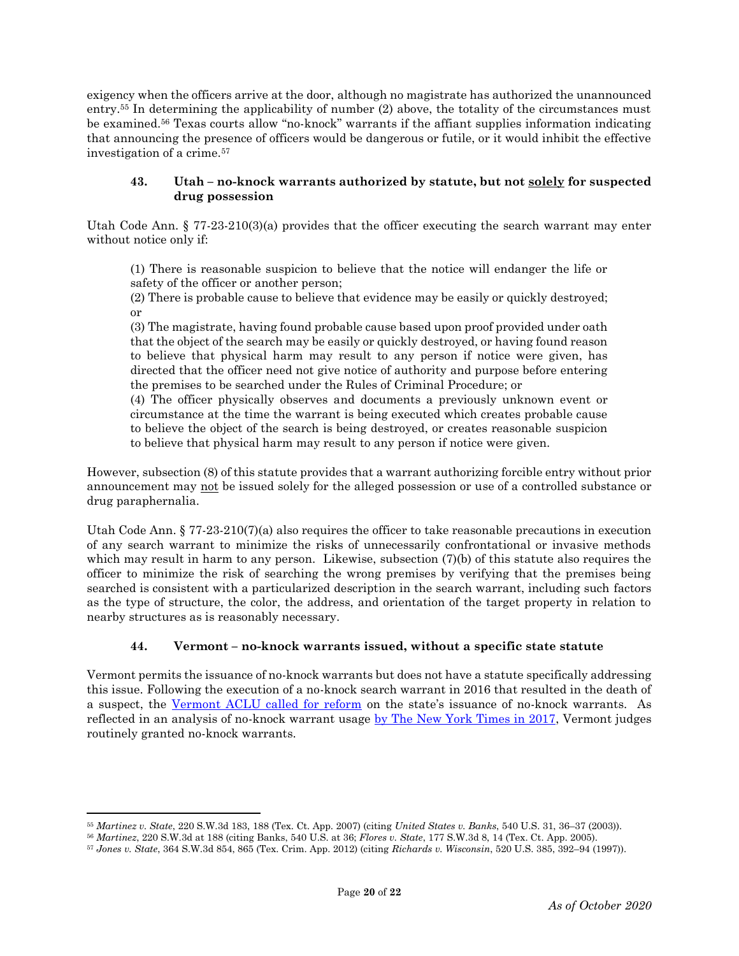exigency when the officers arrive at the door, although no magistrate has authorized the unannounced entry.<sup>55</sup> In determining the applicability of number (2) above, the totality of the circumstances must be examined.<sup>56</sup> Texas courts allow "no-knock" warrants if the affiant supplies information indicating that announcing the presence of officers would be dangerous or futile, or it would inhibit the effective investigation of a crime.<sup>57</sup>

## **43. Utah – no-knock warrants authorized by statute, but not solely for suspected drug possession**

Utah Code Ann.  $\S 77-23-210(3)(a)$  provides that the officer executing the search warrant may enter without notice only if:

(1) There is reasonable suspicion to believe that the notice will endanger the life or safety of the officer or another person;

(2) There is probable cause to believe that evidence may be easily or quickly destroyed; or

(3) The magistrate, having found probable cause based upon proof provided under oath that the object of the search may be easily or quickly destroyed, or having found reason to believe that physical harm may result to any person if notice were given, has directed that the officer need not give notice of authority and purpose before entering the premises to be searched under the Rules of Criminal Procedure; or

(4) The officer physically observes and documents a previously unknown event or circumstance at the time the warrant is being executed which creates probable cause to believe the object of the search is being destroyed, or creates reasonable suspicion to believe that physical harm may result to any person if notice were given.

However, subsection (8) of this statute provides that a warrant authorizing forcible entry without prior announcement may not be issued solely for the alleged possession or use of a controlled substance or drug paraphernalia.

Utah Code Ann. § 77-23-210(7)(a) also requires the officer to take reasonable precautions in execution of any search warrant to minimize the risks of unnecessarily confrontational or invasive methods which may result in harm to any person. Likewise, subsection (7)(b) of this statute also requires the officer to minimize the risk of searching the wrong premises by verifying that the premises being searched is consistent with a particularized description in the search warrant, including such factors as the type of structure, the color, the address, and orientation of the target property in relation to nearby structures as is reasonably necessary.

# **44. Vermont – no-knock warrants issued, without a specific state statute**

Vermont permits the issuance of no-knock warrants but does not have a statute specifically addressing this issue. Following the execution of a no-knock search warrant in 2016 that resulted in the death of a suspect, the [Vermont ACLU called for reform](https://vtdigger.org/2016/01/12/vermont-aclu-limit-no-knock-searches-in-war-on-drugs/) on the state's issuance of no-knock warrants. As reflected in an analysis of no-knock warrant usage [by The New York Times in 2017,](https://www.nytimes.com/interactive/2017/03/18/us/forced-entry-warrant-drug-raid.html) Vermont judges routinely granted no-knock warrants.

 $\overline{a}$ 

<sup>55</sup> *Martinez v. State*, 220 S.W.3d 183, 188 (Tex. Ct. App. 2007) (citing *United States v. Banks*, 540 U.S. 31, 36–37 (2003)).

<sup>56</sup> *Martinez*, 220 S.W.3d at 188 (citing Banks, 540 U.S. at 36; *Flores v. State*, 177 S.W.3d 8, 14 (Tex. Ct. App. 2005).

<sup>57</sup> *Jones v. State*, 364 S.W.3d 854, 865 (Tex. Crim. App. 2012) (citing *Richards v. Wisconsin*, 520 U.S. 385, 392–94 (1997)).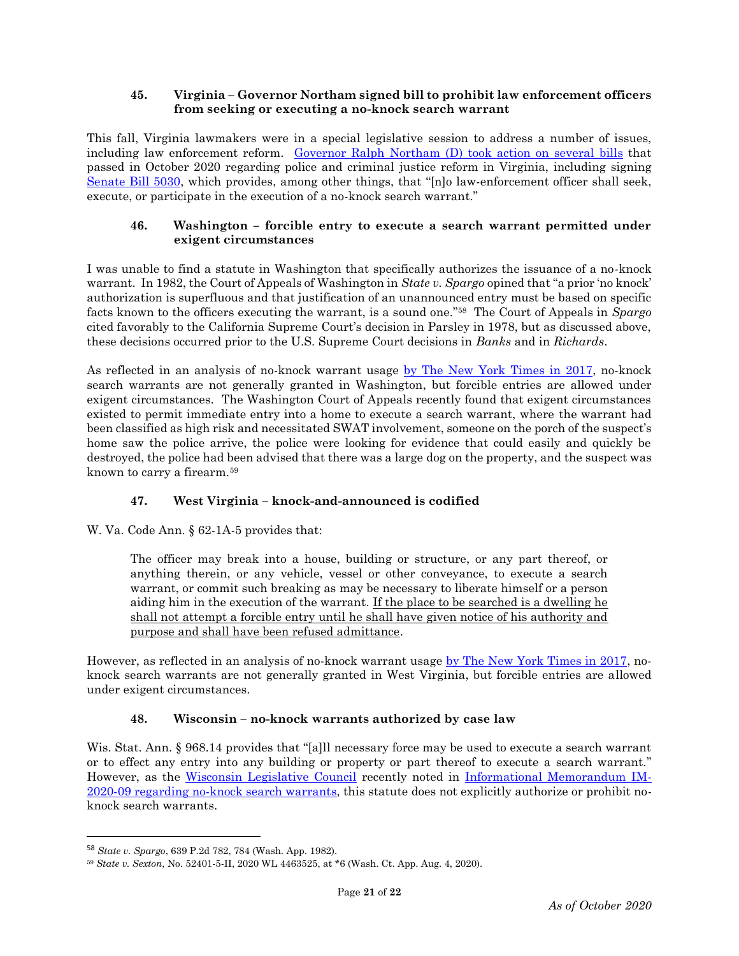## **45. Virginia – Governor Northam signed bill to prohibit law enforcement officers from seeking or executing a no-knock search warrant**

This fall, Virginia lawmakers were in a special legislative session to address a number of issues, including law enforcement reform. [Governor Ralph Northam \(D\) took action on several bills](https://www.governor.virginia.gov/newsroom/all-releases/2020/october/headline-861097-en.html) that passed in October 2020 regarding police and criminal justice reform in Virginia, including signing [Senate Bill 5030,](https://lis.virginia.gov/cgi-bin/legp604.exe?ses=202&typ=bil&val=sb5030) which provides, among other things, that "[n]o law-enforcement officer shall seek, execute, or participate in the execution of a no-knock search warrant."

# **46. Washington – forcible entry to execute a search warrant permitted under exigent circumstances**

I was unable to find a statute in Washington that specifically authorizes the issuance of a no-knock warrant. In 1982, the Court of Appeals of Washington in *State v. Spargo* opined that "a prior 'no knock' authorization is superfluous and that justification of an unannounced entry must be based on specific facts known to the officers executing the warrant, is a sound one." <sup>58</sup> The Court of Appeals in *Spargo* cited favorably to the California Supreme Court's decision in Parsley in 1978, but as discussed above, these decisions occurred prior to the U.S. Supreme Court decisions in *Banks* and in *Richards*.

As reflected in an analysis of no-knock warrant usage [by The New York Times in 2017,](https://www.nytimes.com/interactive/2017/03/18/us/forced-entry-warrant-drug-raid.html) no-knock search warrants are not generally granted in Washington, but forcible entries are allowed under exigent circumstances. The Washington Court of Appeals recently found that exigent circumstances existed to permit immediate entry into a home to execute a search warrant, where the warrant had been classified as high risk and necessitated SWAT involvement, someone on the porch of the suspect's home saw the police arrive, the police were looking for evidence that could easily and quickly be destroyed, the police had been advised that there was a large dog on the property, and the suspect was known to carry a firearm.<sup>59</sup>

# **47. West Virginia – knock-and-announced is codified**

W. Va. Code Ann. § 62-1A-5 provides that:

The officer may break into a house, building or structure, or any part thereof, or anything therein, or any vehicle, vessel or other conveyance, to execute a search warrant, or commit such breaking as may be necessary to liberate himself or a person aiding him in the execution of the warrant. If the place to be searched is a dwelling he shall not attempt a forcible entry until he shall have given notice of his authority and purpose and shall have been refused admittance.

However, as reflected in an analysis of no-knock warrant usage [by The New York Times in 2017,](https://www.nytimes.com/interactive/2017/03/18/us/forced-entry-warrant-drug-raid.html) noknock search warrants are not generally granted in West Virginia, but forcible entries are allowed under exigent circumstances.

# **48. Wisconsin – no-knock warrants authorized by case law**

Wis. Stat. Ann. § 968.14 provides that "[a]ll necessary force may be used to execute a search warrant or to effect any entry into any building or property or part thereof to execute a search warrant." However, as the [Wisconsin Legislative Council](https://lc.legis.wisconsin.gov/) recently noted in [Informational Memorandum IM-](https://docs.legis.wisconsin.gov/misc/lc/information_memos/2020/im_2020_09)[2020-09 regarding no-knock search warrants,](https://docs.legis.wisconsin.gov/misc/lc/information_memos/2020/im_2020_09) this statute does not explicitly authorize or prohibit noknock search warrants.

l

<sup>58</sup> *State v. Spargo*, 639 P.2d 782, 784 (Wash. App. 1982).

<sup>59</sup> *State v. Sexton*, No. 52401-5-II, 2020 WL 4463525, at \*6 (Wash. Ct. App. Aug. 4, 2020).